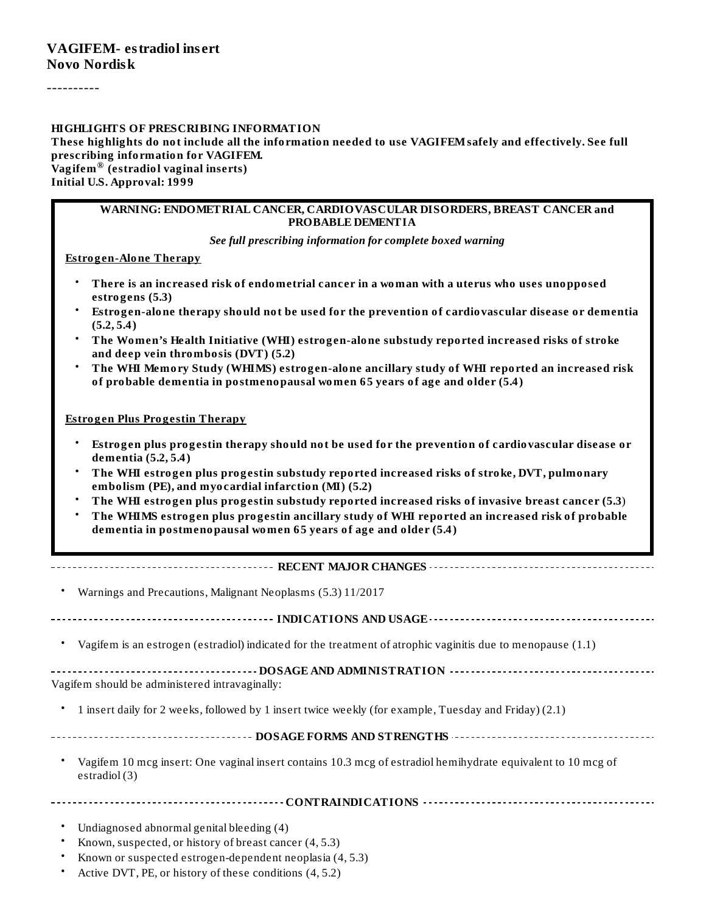----------

#### **HIGHLIGHTS OF PRESCRIBING INFORMATION**

**These highlights do not include all the information needed to use VAGIFEMsafely and effectively. See full prescribing information for VAGIFEM. Vagifem (estradiol vaginal inserts) ® Initial U.S. Approval: 1999**

#### **WARNING: ENDOMETRIAL CANCER, CARDIOVASCULAR DISORDERS, BREAST CANCER and PROBABLE DEMENTIA**

*See full prescribing information for complete boxed warning*

**Estrogen-Alone Therapy**

- **There is an increased risk of endometrial cancer in a woman with a uterus who uses unopposed estrogens (5.3)**
- **Estrogen-alone therapy should not be used for the prevention of cardiovascular disease or dementia (5.2, 5.4)**
- **The Women's Health Initiative (WHI) estrogen-alone substudy reported increased risks of stroke and deep vein thrombosis (DVT) (5.2)**
- **The WHI Memory Study (WHIMS) estrogen-alone ancillary study of WHI reported an increased risk of probable dementia in postmenopausal women 65 years of age and older (5.4)**

#### **Estrogen Plus Progestin Therapy**

- **Estrogen plus progestin therapy should not be used for the prevention of cardiovascular disease or dementia (5.2, 5.4)**
- **The WHI estrogen plus progestin substudy reported increased risks of stroke, DVT, pulmonary embolism (PE), and myocardial infarction (MI) (5.2)**
- **The WHI estrogen plus progestin substudy reported increased risks of invasive breast cancer (5.3**)
- **The WHIMS estrogen plus progestin ancillary study of WHI reported an increased risk of probable dementia in postmenopausal women 65 years of age and older (5.4)**

#### **RECENT MAJOR CHANGES**

| Warnings and Precautions, Malignant Neoplasms (5.3) 11/2017                                                                   |
|-------------------------------------------------------------------------------------------------------------------------------|
|                                                                                                                               |
| Vagifem is an estrogen (estradiol) indicated for the treatment of atrophic vaginitis due to menopause (1.1)                   |
| Vagifem should be administered intravaginally:                                                                                |
| 1 insert daily for 2 weeks, followed by 1 insert twice weekly (for example, Tuesday and Friday) (2.1)<br>$\bullet$            |
|                                                                                                                               |
| Vagifem 10 mcg insert: One vaginal insert contains 10.3 mcg of estradiol hemihydrate equivalent to 10 mcg of<br>estradiol (3) |
|                                                                                                                               |
| Undiagnosed abnormal genital bleeding (4)                                                                                     |
| Known, suspected, or history of breast cancer (4, 5.3)                                                                        |
| the contract of the contract of the contract of the contract of the contract of the contract of the contract of               |

- Known or suspected estrogen-dependent neoplasia (4, 5.3)
- Active DVT, PE, or history of these conditions (4, 5.2)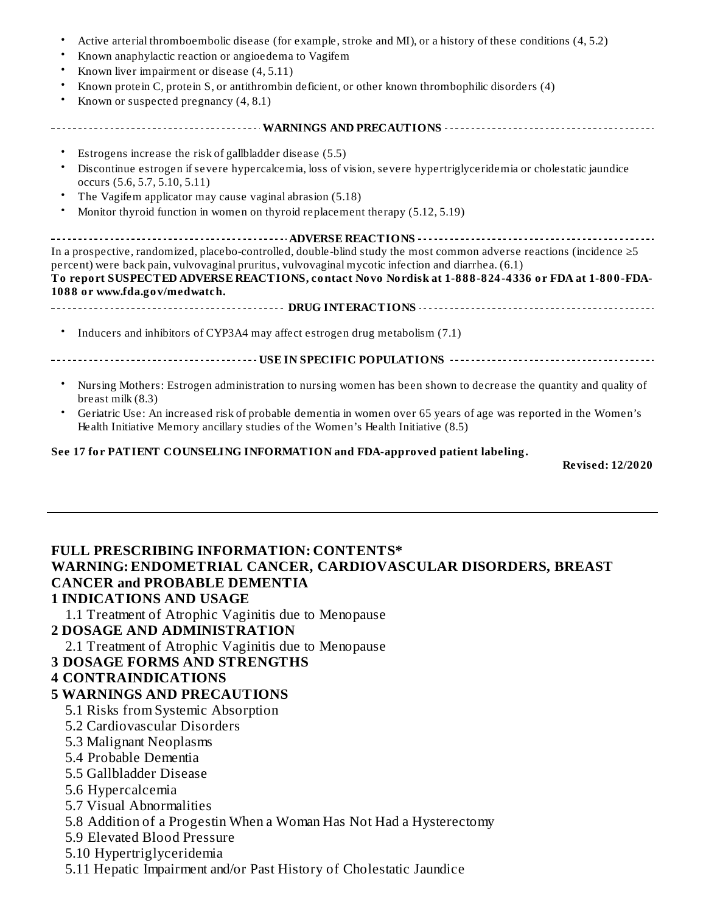|           | Active arterial thromboembolic disease (for example, stroke and MI), or a history of these conditions (4, 5.2)                                                                                                                                                                                                                         |
|-----------|----------------------------------------------------------------------------------------------------------------------------------------------------------------------------------------------------------------------------------------------------------------------------------------------------------------------------------------|
|           | Known anaphylactic reaction or angioedema to Vagifem                                                                                                                                                                                                                                                                                   |
| ٠         | Known liver impairment or disease (4, 5.11)                                                                                                                                                                                                                                                                                            |
|           | Known protein C, protein S, or antithrombin deficient, or other known thrombophilic disorders (4)                                                                                                                                                                                                                                      |
|           | Known or suspected pregnancy (4, 8.1)                                                                                                                                                                                                                                                                                                  |
|           |                                                                                                                                                                                                                                                                                                                                        |
|           | Estrogens increase the risk of gallbladder disease (5.5)                                                                                                                                                                                                                                                                               |
|           | Discontinue estrogen if severe hypercalcemia, loss of vision, severe hypertriglyceridemia or cholestatic jaundice<br>occurs (5.6, 5.7, 5.10, 5.11)                                                                                                                                                                                     |
|           | The Vagifem applicator may cause vaginal abrasion (5.18)                                                                                                                                                                                                                                                                               |
| $\bullet$ | Monitor thyroid function in women on thyroid replacement therapy (5.12, 5.19)                                                                                                                                                                                                                                                          |
|           |                                                                                                                                                                                                                                                                                                                                        |
|           | In a prospective, randomized, placebo-controlled, double-blind study the most common adverse reactions (incidence $\geq 5$<br>percent) were back pain, vulvovaginal pruritus, vulvovaginal mycotic infection and diarrhea. (6.1)<br>To report SUSPECTED ADVERSE REACTIONS, contact Novo Nordisk at 1-888-824-4336 or FDA at 1-800-FDA- |
|           | 1088 or www.fda.gov/medwatch.                                                                                                                                                                                                                                                                                                          |
|           |                                                                                                                                                                                                                                                                                                                                        |
|           | Inducers and inhibitors of CYP3A4 may affect estrogen drug metabolism (7.1)                                                                                                                                                                                                                                                            |
|           |                                                                                                                                                                                                                                                                                                                                        |
|           | Nursing Mothers: Estrogen administration to nursing women has been shown to decrease the quantity and quality of<br>breast milk $(8.3)$                                                                                                                                                                                                |
| $\bullet$ | Geriatric Use: An increased risk of probable dementia in women over 65 years of age was reported in the Women's<br>Health Initiative Memory ancillary studies of the Women's Health Initiative (8.5)                                                                                                                                   |

#### **See 17 for PATIENT COUNSELING INFORMATION and FDA-approved patient labeling.**

**Revised: 12/2020**

### **FULL PRESCRIBING INFORMATION: CONTENTS\* WARNING: ENDOMETRIAL CANCER, CARDIOVASCULAR DISORDERS, BREAST CANCER and PROBABLE DEMENTIA**

#### **1 INDICATIONS AND USAGE**

1.1 Treatment of Atrophic Vaginitis due to Menopause

#### **2 DOSAGE AND ADMINISTRATION**

2.1 Treatment of Atrophic Vaginitis due to Menopause

#### **3 DOSAGE FORMS AND STRENGTHS**

#### **4 CONTRAINDICATIONS**

#### **5 WARNINGS AND PRECAUTIONS**

- 5.1 Risks from Systemic Absorption
- 5.2 Cardiovascular Disorders
- 5.3 Malignant Neoplasms
- 5.4 Probable Dementia
- 5.5 Gallbladder Disease
- 5.6 Hypercalcemia
- 5.7 Visual Abnormalities
- 5.8 Addition of a Progestin When a Woman Has Not Had a Hysterectomy
- 5.9 Elevated Blood Pressure
- 5.10 Hypertriglyceridemia
- 5.11 Hepatic Impairment and/or Past History of Cholestatic Jaundice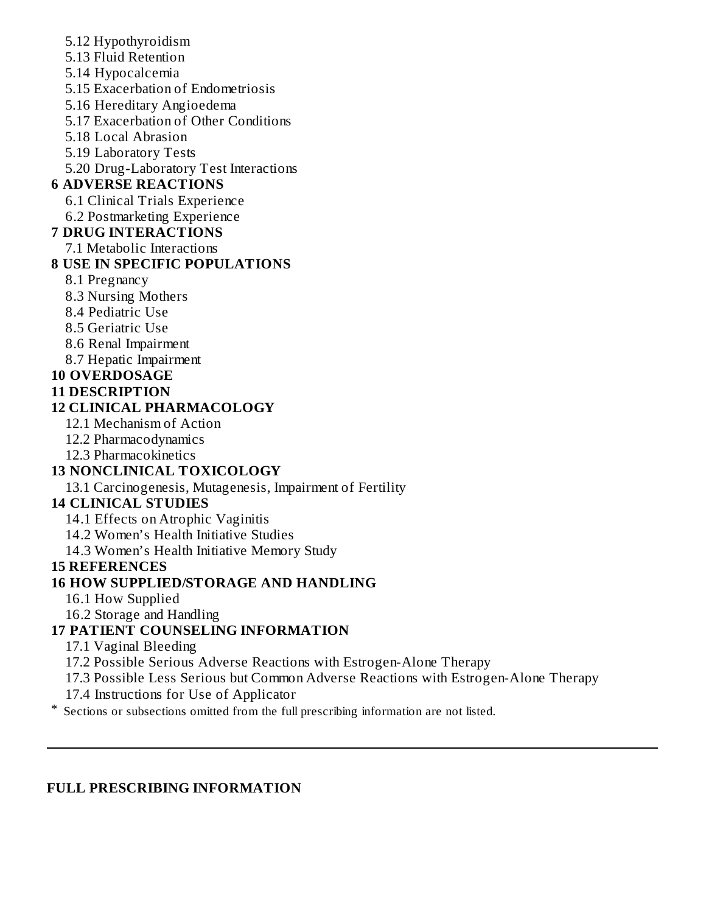- 5.12 Hypothyroidism
- 5.13 Fluid Retention
- 5.14 Hypocalcemia
- 5.15 Exacerbation of Endometriosis
- 5.16 Hereditary Angioedema
- 5.17 Exacerbation of Other Conditions
- 5.18 Local Abrasion
- 5.19 Laboratory Tests
- 5.20 Drug-Laboratory Test Interactions

# **6 ADVERSE REACTIONS**

- 6.1 Clinical Trials Experience
- 6.2 Postmarketing Experience

### **7 DRUG INTERACTIONS**

7.1 Metabolic Interactions

### **8 USE IN SPECIFIC POPULATIONS**

- 8.1 Pregnancy
- 8.3 Nursing Mothers
- 8.4 Pediatric Use
- 8.5 Geriatric Use
- 8.6 Renal Impairment
- 8.7 Hepatic Impairment

## **10 OVERDOSAGE**

**11 DESCRIPTION**

### **12 CLINICAL PHARMACOLOGY**

- 12.1 Mechanism of Action
- 12.2 Pharmacodynamics
- 12.3 Pharmacokinetics

### **13 NONCLINICAL TOXICOLOGY**

13.1 Carcinogenesis, Mutagenesis, Impairment of Fertility

### **14 CLINICAL STUDIES**

14.1 Effects on Atrophic Vaginitis

14.2 Women's Health Initiative Studies

14.3 Women's Health Initiative Memory Study

### **15 REFERENCES**

### **16 HOW SUPPLIED/STORAGE AND HANDLING**

- 16.1 How Supplied
- 16.2 Storage and Handling

# **17 PATIENT COUNSELING INFORMATION**

17.1 Vaginal Bleeding

17.2 Possible Serious Adverse Reactions with Estrogen-Alone Therapy

17.3 Possible Less Serious but Common Adverse Reactions with Estrogen-Alone Therapy

17.4 Instructions for Use of Applicator

\* Sections or subsections omitted from the full prescribing information are not listed.

### **FULL PRESCRIBING INFORMATION**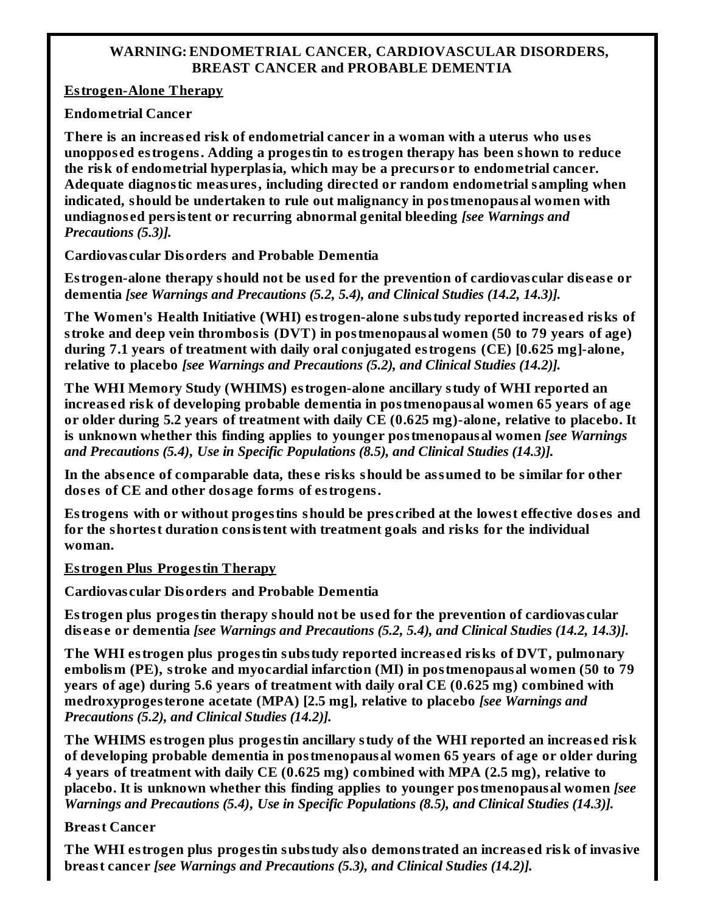#### **WARNING: ENDOMETRIAL CANCER, CARDIOVASCULAR DISORDERS, BREAST CANCER and PROBABLE DEMENTIA**

**Estrogen-Alone Therapy**

**Endometrial Cancer**

**There is an increas ed risk of endometrial cancer in a woman with a uterus who us es unoppos ed estrogens. Adding a progestin to estrogen therapy has been shown to reduce the risk of endometrial hyperplasia, which may be a precursor to endometrial cancer. Adequate diagnostic measures, including directed or random endometrial sampling when indicated, should be undertaken to rule out malignancy in postmenopausal women with undiagnos ed persistent or recurring abnormal genital bleeding** *[see Warnings and Precautions (5.3)].*

**Cardiovas cular Disorders and Probable Dementia**

**Estrogen-alone therapy should not be us ed for the prevention of cardiovas cular dis eas e or dementia** *[see Warnings and Precautions (5.2, 5.4), and Clinical Studies (14.2, 14.3)].*

**The Women's Health Initiative (WHI) estrogen-alone substudy reported increas ed risks of stroke and deep vein thrombosis (DVT) in postmenopausal women (50 to 79 years of age) during 7.1 years of treatment with daily oral conjugated estrogens (CE) [0.625 mg]-alone, relative to placebo** *[see Warnings and Precautions (5.2), and Clinical Studies (14.2)].*

**The WHI Memory Study (WHIMS) estrogen-alone ancillary study of WHI reported an increas ed risk of developing probable dementia in postmenopausal women 65 years of age or older during 5.2 years of treatment with daily CE (0.625 mg)-alone, relative to placebo. It is unknown whether this finding applies to younger postmenopausal women** *[see Warnings and Precautions (5.4)***,** *Use in Specific Populations (8.5), and Clinical Studies (14.3)].*

**In the abs ence of comparable data, thes e risks should be assumed to be similar for other dos es of CE and other dosage forms of estrogens.**

**Estrogens with or without progestins should be pres cribed at the lowest effective dos es and for the shortest duration consistent with treatment goals and risks for the individual woman.**

**Estrogen Plus Progestin Therapy**

**Cardiovas cular Disorders and Probable Dementia**

**Estrogen plus progestin therapy should not be us ed for the prevention of cardiovas cular dis eas e or dementia** *[see Warnings and Precautions (5.2, 5.4), and Clinical Studies (14.2, 14.3)].*

**The WHI estrogen plus progestin substudy reported increas ed risks of DVT, pulmonary embolism (PE), stroke and myocardial infarction (MI) in postmenopausal women (50 to 79 years of age) during 5.6 years of treatment with daily oral CE (0.625 mg) combined with medroxyprogesterone acetate (MPA) [2.5 mg], relative to placebo** *[see Warnings and Precautions (5.2), and Clinical Studies (14.2)].*

**The WHIMS estrogen plus progestin ancillary study of the WHI reported an increas ed risk of developing probable dementia in postmenopausal women 65 years of age or older during 4 years of treatment with daily CE (0.625 mg) combined with MPA (2.5 mg), relative to placebo. It is unknown whether this finding applies to younger postmenopausal women** *[see Warnings and Precautions (5.4)***,** *Use in Specific Populations (8.5), and Clinical Studies (14.3)].*

### **Breast Cancer**

**The WHI estrogen plus progestin substudy also demonstrated an increas ed risk of invasive breast cancer** *[see Warnings and Precautions (5.3), and Clinical Studies (14.2)].*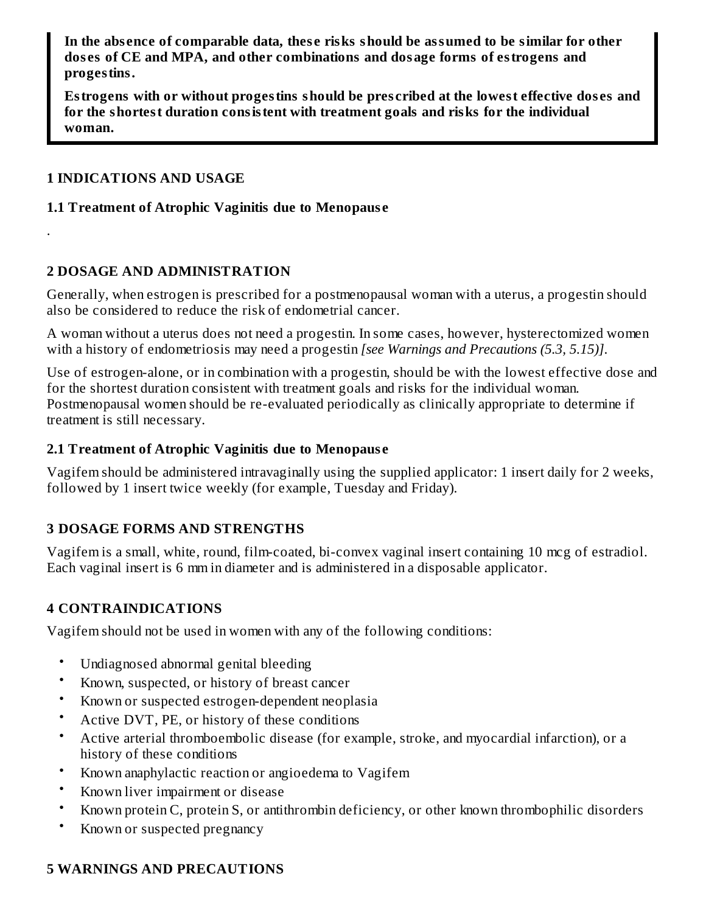**In the abs ence of comparable data, thes e risks should be assumed to be similar for other dos es of CE and MPA, and other combinations and dosage forms of estrogens and progestins.**

**Estrogens with or without progestins should be pres cribed at the lowest effective dos es and for the shortest duration consistent with treatment goals and risks for the individual woman.**

#### **1 INDICATIONS AND USAGE**

.

#### **1.1 Treatment of Atrophic Vaginitis due to Menopaus e**

#### **2 DOSAGE AND ADMINISTRATION**

Generally, when estrogen is prescribed for a postmenopausal woman with a uterus, a progestin should also be considered to reduce the risk of endometrial cancer.

A woman without a uterus does not need a progestin. In some cases, however, hysterectomized women with a history of endometriosis may need a progestin *[see Warnings and Precautions (5.3, 5.15)]*.

Use of estrogen-alone, or in combination with a progestin, should be with the lowest effective dose and for the shortest duration consistent with treatment goals and risks for the individual woman. Postmenopausal women should be re-evaluated periodically as clinically appropriate to determine if treatment is still necessary.

#### **2.1 Treatment of Atrophic Vaginitis due to Menopaus e**

Vagifem should be administered intravaginally using the supplied applicator: 1 insert daily for 2 weeks, followed by 1 insert twice weekly (for example, Tuesday and Friday).

### **3 DOSAGE FORMS AND STRENGTHS**

Vagifem is a small, white, round, film-coated, bi-convex vaginal insert containing 10 mcg of estradiol. Each vaginal insert is 6 mm in diameter and is administered in a disposable applicator.

### **4 CONTRAINDICATIONS**

Vagifem should not be used in women with any of the following conditions:

- Undiagnosed abnormal genital bleeding
- Known, suspected, or history of breast cancer
- Known or suspected estrogen-dependent neoplasia
- Active DVT, PE, or history of these conditions
- Active arterial thromboembolic disease (for example, stroke, and myocardial infarction), or a history of these conditions
- Known anaphylactic reaction or angioedema to Vagifem
- Known liver impairment or disease
- Known protein C, protein S, or antithrombin deficiency, or other known thrombophilic disorders
- Known or suspected pregnancy

### **5 WARNINGS AND PRECAUTIONS**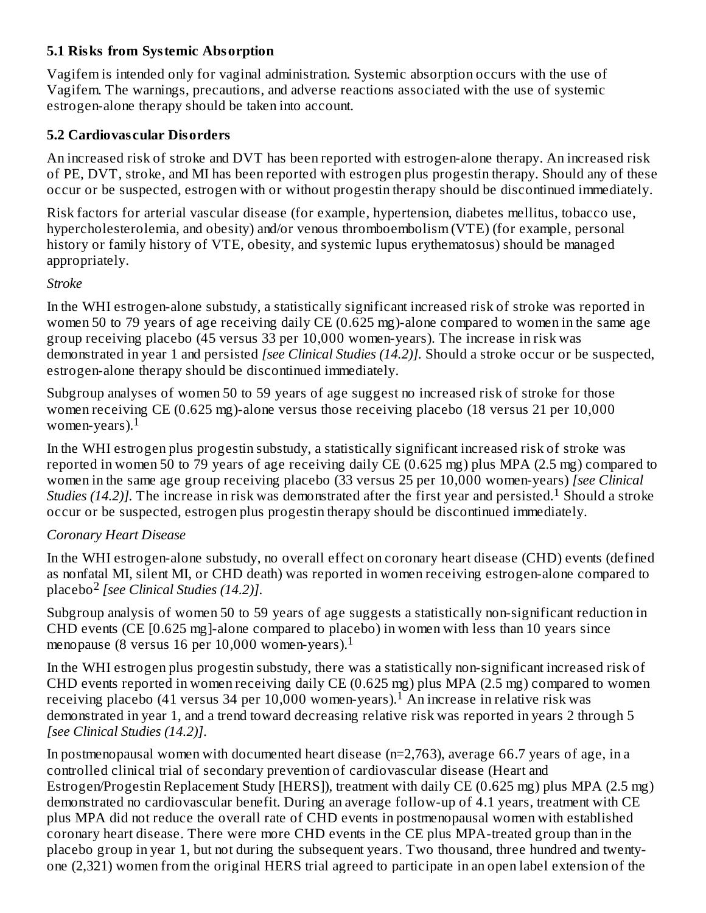### **5.1 Risks from Systemic Absorption**

Vagifem is intended only for vaginal administration. Systemic absorption occurs with the use of Vagifem. The warnings, precautions, and adverse reactions associated with the use of systemic estrogen-alone therapy should be taken into account.

### **5.2 Cardiovas cular Disorders**

An increased risk of stroke and DVT has been reported with estrogen-alone therapy. An increased risk of PE, DVT, stroke, and MI has been reported with estrogen plus progestin therapy. Should any of these occur or be suspected, estrogen with or without progestin therapy should be discontinued immediately.

Risk factors for arterial vascular disease (for example, hypertension, diabetes mellitus, tobacco use, hypercholesterolemia, and obesity) and/or venous thromboembolism (VTE) (for example, personal history or family history of VTE, obesity, and systemic lupus erythematosus) should be managed appropriately.

### *Stroke*

In the WHI estrogen-alone substudy, a statistically significant increased risk of stroke was reported in women 50 to 79 years of age receiving daily CE (0.625 mg)-alone compared to women in the same age group receiving placebo (45 versus 33 per 10,000 women-years). The increase in risk was demonstrated in year 1 and persisted *[see Clinical Studies (14.2)].* Should a stroke occur or be suspected, estrogen-alone therapy should be discontinued immediately.

Subgroup analyses of women 50 to 59 years of age suggest no increased risk of stroke for those women receiving CE (0.625 mg)-alone versus those receiving placebo (18 versus 21 per 10,000 women-years). $^{\rm 1}$ 

In the WHI estrogen plus progestin substudy, a statistically significant increased risk of stroke was reported in women 50 to 79 years of age receiving daily CE (0.625 mg) plus MPA (2.5 mg) compared to women in the same age group receiving placebo (33 versus 25 per 10,000 women-years) *[see Clinical Studies* (14.2)]. The increase in risk was demonstrated after the first year and persisted.<sup>1</sup> Should a stroke occur or be suspected, estrogen plus progestin therapy should be discontinued immediately.

### *Coronary Heart Disease*

In the WHI estrogen-alone substudy, no overall effect on coronary heart disease (CHD) events (defined as nonfatal MI, silent MI, or CHD death) was reported in women receiving estrogen-alone compared to placebo<sup>2</sup> [see *Clinical Studies* (14.2)].

Subgroup analysis of women 50 to 59 years of age suggests a statistically non-significant reduction in CHD events (CE [0.625 mg]-alone compared to placebo) in women with less than 10 years since menopause (8 versus 16 per 10,000 women-years).<sup>1</sup>

In the WHI estrogen plus progestin substudy, there was a statistically non-significant increased risk of CHD events reported in women receiving daily CE (0.625 mg) plus MPA (2.5 mg) compared to women receiving placebo (41 versus 34 per 10,000 women-years).<sup>1</sup> An increase in relative risk was demonstrated in year 1, and a trend toward decreasing relative risk was reported in years 2 through 5 *[see Clinical Studies (14.2)]*.

In postmenopausal women with documented heart disease (n=2,763), average 66.7 years of age, in a controlled clinical trial of secondary prevention of cardiovascular disease (Heart and Estrogen/Progestin Replacement Study [HERS]), treatment with daily CE (0.625 mg) plus MPA (2.5 mg) demonstrated no cardiovascular benefit. During an average follow-up of 4.1 years, treatment with CE plus MPA did not reduce the overall rate of CHD events in postmenopausal women with established coronary heart disease. There were more CHD events in the CE plus MPA-treated group than in the placebo group in year 1, but not during the subsequent years. Two thousand, three hundred and twentyone (2,321) women from the original HERS trial agreed to participate in an open label extension of the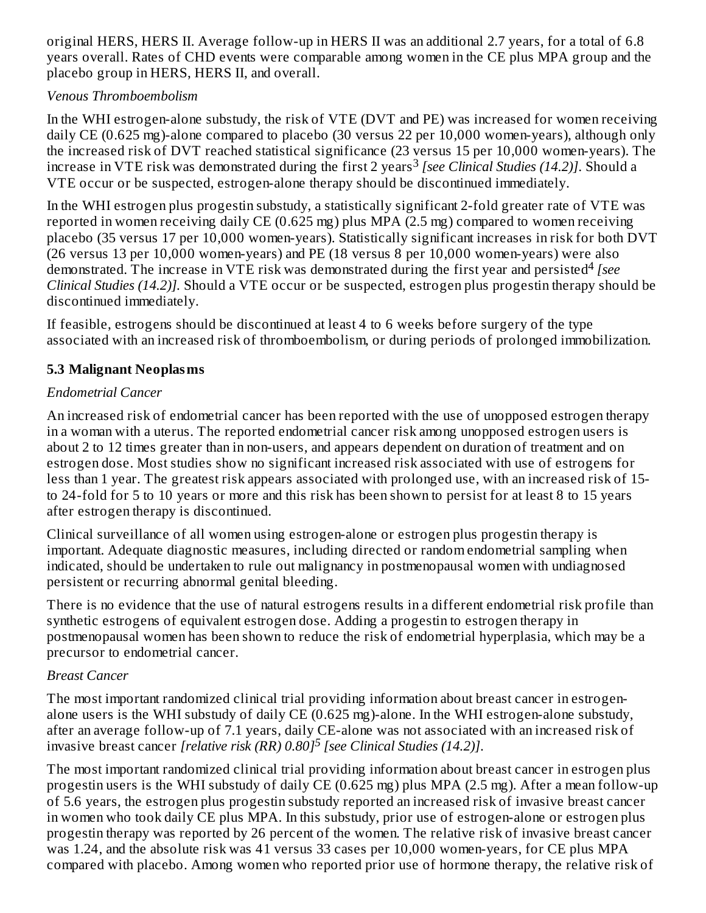original HERS, HERS II. Average follow-up in HERS II was an additional 2.7 years, for a total of 6.8 years overall. Rates of CHD events were comparable among women in the CE plus MPA group and the placebo group in HERS, HERS II, and overall.

### *Venous Thromboembolism*

In the WHI estrogen-alone substudy, the risk of VTE (DVT and PE) was increased for women receiving daily CE (0.625 mg)-alone compared to placebo (30 versus 22 per 10,000 women-years), although only the increased risk of DVT reached statistical significance (23 versus 15 per 10,000 women-years). The increase in VTE risk was demonstrated during the first 2 years *[see Clinical Studies (14.2)]*. Should a 3 VTE occur or be suspected, estrogen-alone therapy should be discontinued immediately.

In the WHI estrogen plus progestin substudy, a statistically significant 2-fold greater rate of VTE was reported in women receiving daily CE (0.625 mg) plus MPA (2.5 mg) compared to women receiving placebo (35 versus 17 per 10,000 women-years). Statistically significant increases in risk for both DVT (26 versus 13 per 10,000 women-years) and PE (18 versus 8 per 10,000 women-years) were also demonstrated. The increase in VTE risk was demonstrated during the first year and persisted<sup>4</sup> [see *Clinical Studies (14.2)].* Should a VTE occur or be suspected, estrogen plus progestin therapy should be discontinued immediately.

If feasible, estrogens should be discontinued at least 4 to 6 weeks before surgery of the type associated with an increased risk of thromboembolism, or during periods of prolonged immobilization.

### **5.3 Malignant Neoplasms**

### *Endometrial Cancer*

An increased risk of endometrial cancer has been reported with the use of unopposed estrogen therapy in a woman with a uterus. The reported endometrial cancer risk among unopposed estrogen users is about 2 to 12 times greater than in non-users, and appears dependent on duration of treatment and on estrogen dose. Most studies show no significant increased risk associated with use of estrogens for less than 1 year. The greatest risk appears associated with prolonged use, with an increased risk of 15 to 24-fold for 5 to 10 years or more and this risk has been shown to persist for at least 8 to 15 years after estrogen therapy is discontinued.

Clinical surveillance of all women using estrogen-alone or estrogen plus progestin therapy is important. Adequate diagnostic measures, including directed or random endometrial sampling when indicated, should be undertaken to rule out malignancy in postmenopausal women with undiagnosed persistent or recurring abnormal genital bleeding.

There is no evidence that the use of natural estrogens results in a different endometrial risk profile than synthetic estrogens of equivalent estrogen dose. Adding a progestin to estrogen therapy in postmenopausal women has been shown to reduce the risk of endometrial hyperplasia, which may be a precursor to endometrial cancer.

### *Breast Cancer*

The most important randomized clinical trial providing information about breast cancer in estrogenalone users is the WHI substudy of daily CE (0.625 mg)-alone. In the WHI estrogen-alone substudy, after an average follow-up of 7.1 years, daily CE-alone was not associated with an increased risk of invasive breast cancer *[relative risk (RR) 0.80] [see Clinical Studies (14.2)]*. *5*

The most important randomized clinical trial providing information about breast cancer in estrogen plus progestin users is the WHI substudy of daily CE (0.625 mg) plus MPA (2.5 mg). After a mean follow-up of 5.6 years, the estrogen plus progestin substudy reported an increased risk of invasive breast cancer in women who took daily CE plus MPA. In this substudy, prior use of estrogen-alone or estrogen plus progestin therapy was reported by 26 percent of the women. The relative risk of invasive breast cancer was 1.24, and the absolute risk was 41 versus 33 cases per 10,000 women-years, for CE plus MPA compared with placebo. Among women who reported prior use of hormone therapy, the relative risk of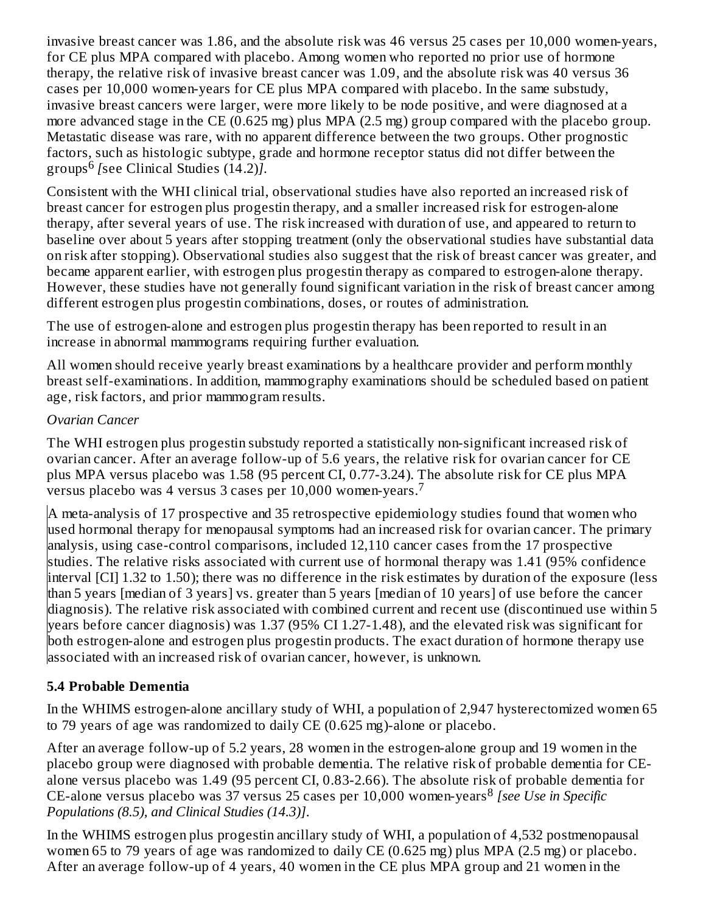invasive breast cancer was 1.86, and the absolute risk was 46 versus 25 cases per 10,000 women-years, for CE plus MPA compared with placebo. Among women who reported no prior use of hormone therapy, the relative risk of invasive breast cancer was 1.09, and the absolute risk was 40 versus 36 cases per 10,000 women-years for CE plus MPA compared with placebo. In the same substudy, invasive breast cancers were larger, were more likely to be node positive, and were diagnosed at a more advanced stage in the CE (0.625 mg) plus MPA (2.5 mg) group compared with the placebo group. Metastatic disease was rare, with no apparent difference between the two groups. Other prognostic factors, such as histologic subtype, grade and hormone receptor status did not differ between the groups<sup>6</sup> [see Clinical Studies (14.2)].

Consistent with the WHI clinical trial, observational studies have also reported an increased risk of breast cancer for estrogen plus progestin therapy, and a smaller increased risk for estrogen-alone therapy, after several years of use. The risk increased with duration of use, and appeared to return to baseline over about 5 years after stopping treatment (only the observational studies have substantial data on risk after stopping). Observational studies also suggest that the risk of breast cancer was greater, and became apparent earlier, with estrogen plus progestin therapy as compared to estrogen-alone therapy. However, these studies have not generally found significant variation in the risk of breast cancer among different estrogen plus progestin combinations, doses, or routes of administration.

The use of estrogen-alone and estrogen plus progestin therapy has been reported to result in an increase in abnormal mammograms requiring further evaluation.

All women should receive yearly breast examinations by a healthcare provider and perform monthly breast self-examinations. In addition, mammography examinations should be scheduled based on patient age, risk factors, and prior mammogram results.

### *Ovarian Cancer*

The WHI estrogen plus progestin substudy reported a statistically non-significant increased risk of ovarian cancer. After an average follow-up of 5.6 years, the relative risk for ovarian cancer for CE plus MPA versus placebo was 1.58 (95 percent CI, 0.77-3.24). The absolute risk for CE plus MPA  $\overline{\rm v}$ ersus placebo was 4 versus 3 cases per 10,000 women-years. $^7$ 

A meta-analysis of 17 prospective and 35 retrospective epidemiology studies found that women who used hormonal therapy for menopausal symptoms had an increased risk for ovarian cancer. The primary analysis, using case-control comparisons, included 12,110 cancer cases from the 17 prospective studies. The relative risks associated with current use of hormonal therapy was 1.41 (95% confidence interval [CI] 1.32 to 1.50); there was no difference in the risk estimates by duration of the exposure (less than 5 years [median of 3 years] vs. greater than 5 years [median of 10 years] of use before the cancer diagnosis). The relative risk associated with combined current and recent use (discontinued use within 5 years before cancer diagnosis) was 1.37 (95% CI 1.27-1.48), and the elevated risk was significant for both estrogen-alone and estrogen plus progestin products. The exact duration of hormone therapy use associated with an increased risk of ovarian cancer, however, is unknown.

### **5.4 Probable Dementia**

In the WHIMS estrogen-alone ancillary study of WHI, a population of 2,947 hysterectomized women 65 to 79 years of age was randomized to daily CE (0.625 mg)-alone or placebo.

After an average follow-up of 5.2 years, 28 women in the estrogen-alone group and 19 women in the placebo group were diagnosed with probable dementia. The relative risk of probable dementia for CEalone versus placebo was 1.49 (95 percent CI, 0.83-2.66). The absolute risk of probable dementia for CE-alone versus placebo was 37 versus 25 cases per 10,000 women-years *[see Use in Specific* 8*Populations (8.5), and Clinical Studies (14.3)]*.

In the WHIMS estrogen plus progestin ancillary study of WHI, a population of 4,532 postmenopausal women 65 to 79 years of age was randomized to daily CE (0.625 mg) plus MPA (2.5 mg) or placebo. After an average follow-up of 4 years, 40 women in the CE plus MPA group and 21 women in the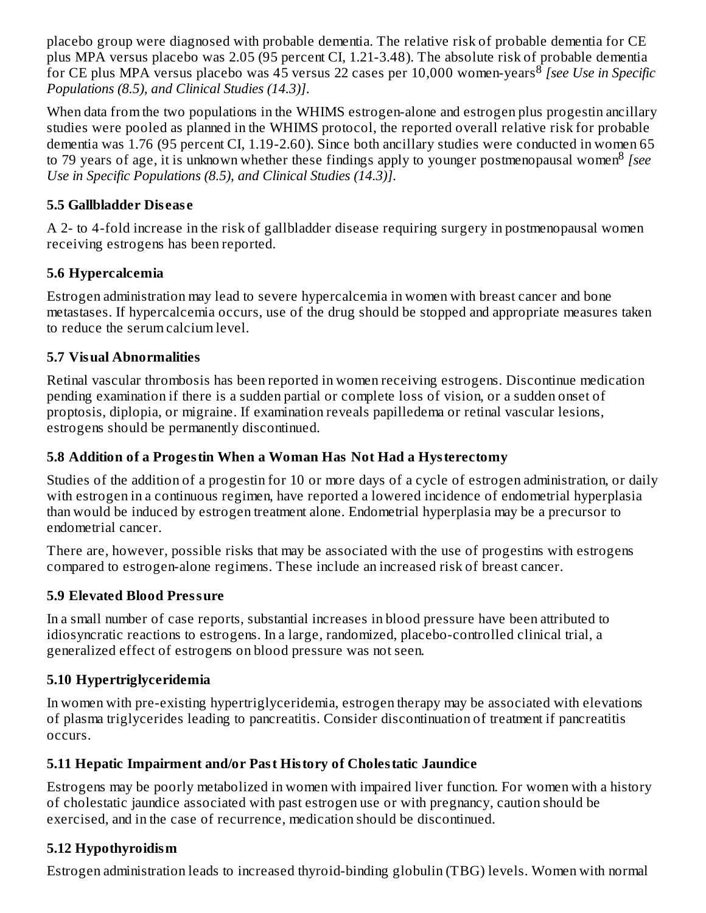placebo group were diagnosed with probable dementia. The relative risk of probable dementia for CE plus MPA versus placebo was 2.05 (95 percent CI, 1.21-3.48). The absolute risk of probable dementia for CE plus MPA versus placebo was 45 versus 22 cases per 10,000 women-years *[see Use in Specific* 8 *Populations (8.5), and Clinical Studies (14.3)]*.

When data from the two populations in the WHIMS estrogen-alone and estrogen plus progestin ancillary studies were pooled as planned in the WHIMS protocol, the reported overall relative risk for probable dementia was 1.76 (95 percent CI, 1.19-2.60). Since both ancillary studies were conducted in women 65 to 79 years of age, it is unknown whether these findings apply to younger postmenopausal women<sup>8</sup> [see *Use in Specific Populations (8.5), and Clinical Studies (14.3)]*.

### **5.5 Gallbladder Dis eas e**

A 2- to 4-fold increase in the risk of gallbladder disease requiring surgery in postmenopausal women receiving estrogens has been reported.

### **5.6 Hypercalcemia**

Estrogen administration may lead to severe hypercalcemia in women with breast cancer and bone metastases. If hypercalcemia occurs, use of the drug should be stopped and appropriate measures taken to reduce the serum calcium level.

### **5.7 Visual Abnormalities**

Retinal vascular thrombosis has been reported in women receiving estrogens. Discontinue medication pending examination if there is a sudden partial or complete loss of vision, or a sudden onset of proptosis, diplopia, or migraine. If examination reveals papilledema or retinal vascular lesions, estrogens should be permanently discontinued.

### **5.8 Addition of a Progestin When a Woman Has Not Had a Hysterectomy**

Studies of the addition of a progestin for 10 or more days of a cycle of estrogen administration, or daily with estrogen in a continuous regimen, have reported a lowered incidence of endometrial hyperplasia than would be induced by estrogen treatment alone. Endometrial hyperplasia may be a precursor to endometrial cancer.

There are, however, possible risks that may be associated with the use of progestins with estrogens compared to estrogen-alone regimens. These include an increased risk of breast cancer.

### **5.9 Elevated Blood Pressure**

In a small number of case reports, substantial increases in blood pressure have been attributed to idiosyncratic reactions to estrogens. In a large, randomized, placebo-controlled clinical trial, a generalized effect of estrogens on blood pressure was not seen.

### **5.10 Hypertriglyceridemia**

In women with pre-existing hypertriglyceridemia, estrogen therapy may be associated with elevations of plasma triglycerides leading to pancreatitis. Consider discontinuation of treatment if pancreatitis occurs.

### **5.11 Hepatic Impairment and/or Past History of Cholestatic Jaundice**

Estrogens may be poorly metabolized in women with impaired liver function. For women with a history of cholestatic jaundice associated with past estrogen use or with pregnancy, caution should be exercised, and in the case of recurrence, medication should be discontinued.

### **5.12 Hypothyroidism**

Estrogen administration leads to increased thyroid-binding globulin (TBG) levels. Women with normal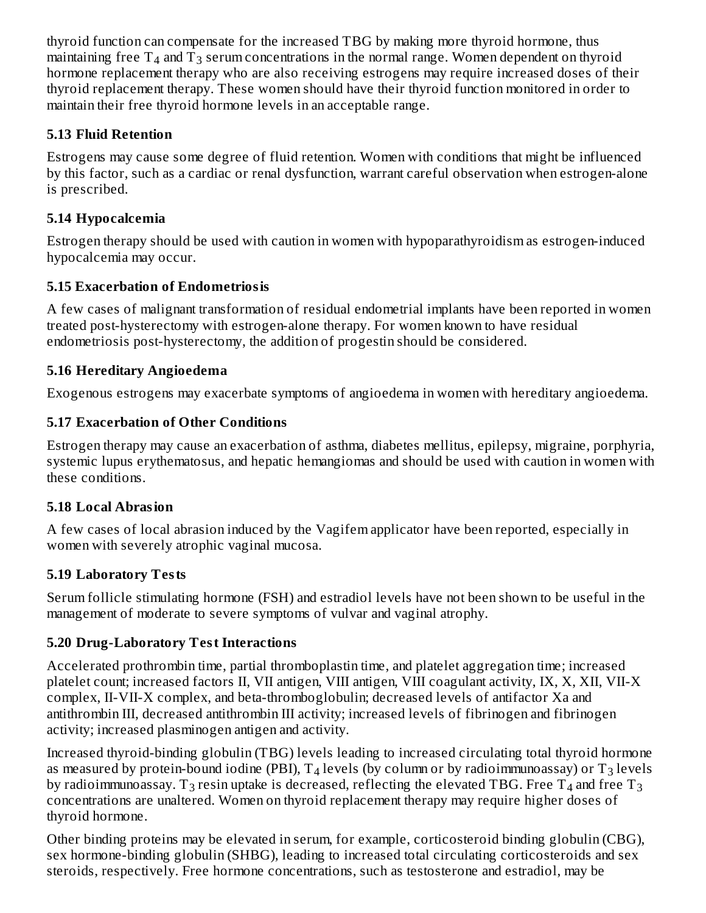thyroid function can compensate for the increased TBG by making more thyroid hormone, thus maintaining free  $\mathrm{T}_4$  and  $\mathrm{T}_3$  serum concentrations in the normal range. Women dependent on thyroid hormone replacement therapy who are also receiving estrogens may require increased doses of their thyroid replacement therapy. These women should have their thyroid function monitored in order to maintain their free thyroid hormone levels in an acceptable range.

### **5.13 Fluid Retention**

Estrogens may cause some degree of fluid retention. Women with conditions that might be influenced by this factor, such as a cardiac or renal dysfunction, warrant careful observation when estrogen-alone is prescribed.

### **5.14 Hypocalcemia**

Estrogen therapy should be used with caution in women with hypoparathyroidism as estrogen-induced hypocalcemia may occur.

## **5.15 Exacerbation of Endometriosis**

A few cases of malignant transformation of residual endometrial implants have been reported in women treated post-hysterectomy with estrogen-alone therapy. For women known to have residual endometriosis post-hysterectomy, the addition of progestin should be considered.

## **5.16 Hereditary Angioedema**

Exogenous estrogens may exacerbate symptoms of angioedema in women with hereditary angioedema.

# **5.17 Exacerbation of Other Conditions**

Estrogen therapy may cause an exacerbation of asthma, diabetes mellitus, epilepsy, migraine, porphyria, systemic lupus erythematosus, and hepatic hemangiomas and should be used with caution in women with these conditions.

# **5.18 Local Abrasion**

A few cases of local abrasion induced by the Vagifem applicator have been reported, especially in women with severely atrophic vaginal mucosa.

# **5.19 Laboratory Tests**

Serum follicle stimulating hormone (FSH) and estradiol levels have not been shown to be useful in the management of moderate to severe symptoms of vulvar and vaginal atrophy.

# **5.20 Drug-Laboratory Test Interactions**

Accelerated prothrombin time, partial thromboplastin time, and platelet aggregation time; increased platelet count; increased factors II, VII antigen, VIII antigen, VIII coagulant activity, IX, X, XII, VII-X complex, II-VII-X complex, and beta-thromboglobulin; decreased levels of antifactor Xa and antithrombin III, decreased antithrombin III activity; increased levels of fibrinogen and fibrinogen activity; increased plasminogen antigen and activity.

Increased thyroid-binding globulin (TBG) levels leading to increased circulating total thyroid hormone as measured by protein-bound iodine (PBI),  $\text{T}_4$  levels (by column or by radioimmunoassay) or  $\text{T}_3$  levels by radioimmunoassay. T $_3$  resin uptake is decreased, reflecting the elevated TBG. Free T $_4$  and free T $_3$ concentrations are unaltered. Women on thyroid replacement therapy may require higher doses of thyroid hormone.

Other binding proteins may be elevated in serum, for example, corticosteroid binding globulin (CBG), sex hormone-binding globulin (SHBG), leading to increased total circulating corticosteroids and sex steroids, respectively. Free hormone concentrations, such as testosterone and estradiol, may be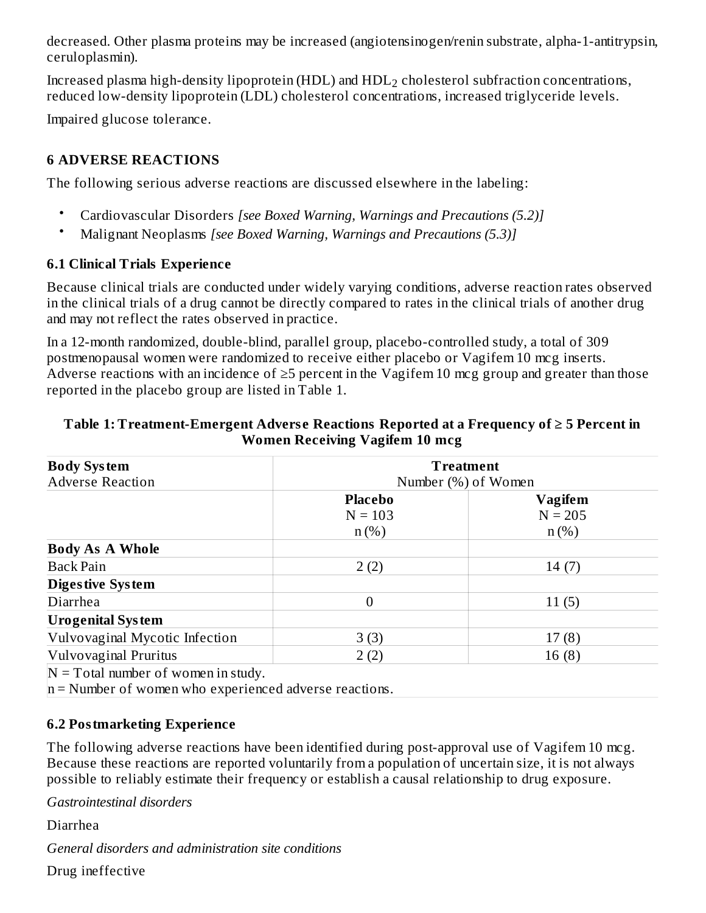decreased. Other plasma proteins may be increased (angiotensinogen/renin substrate, alpha-1-antitrypsin, ceruloplasmin).

Increased plasma high-density lipoprotein (HDL) and  $\mathrm{HDL}_2$  cholesterol subfraction concentrations, reduced low-density lipoprotein (LDL) cholesterol concentrations, increased triglyceride levels.

Impaired glucose tolerance.

### **6 ADVERSE REACTIONS**

The following serious adverse reactions are discussed elsewhere in the labeling:

- Cardiovascular Disorders *[see Boxed Warning, Warnings and Precautions (5.2)]*
- Malignant Neoplasms *[see Boxed Warning, Warnings and Precautions (5.3)]*

### **6.1 Clinical Trials Experience**

Because clinical trials are conducted under widely varying conditions, adverse reaction rates observed in the clinical trials of a drug cannot be directly compared to rates in the clinical trials of another drug and may not reflect the rates observed in practice.

In a 12-month randomized, double-blind, parallel group, placebo-controlled study, a total of 309 postmenopausal women were randomized to receive either placebo or Vagifem 10 mcg inserts. Adverse reactions with an incidence of ≥5 percent in the Vagifem 10 mcg group and greater than those reported in the placebo group are listed in Table 1.

| <b>Body System</b><br><b>Adverse Reaction</b>      | <b>Treatment</b><br>Number (%) of Women |                                 |  |  |
|----------------------------------------------------|-----------------------------------------|---------------------------------|--|--|
|                                                    | <b>Placebo</b><br>$N = 103$<br>$n$ (%)  | Vagifem<br>$N = 205$<br>$n$ (%) |  |  |
| <b>Body As A Whole</b>                             |                                         |                                 |  |  |
| <b>Back Pain</b>                                   | 2(2)                                    | 14(7)                           |  |  |
| <b>Digestive System</b>                            |                                         |                                 |  |  |
| Diarrhea                                           | 0                                       | 11(5)                           |  |  |
| <b>Urogenital System</b>                           |                                         |                                 |  |  |
| Vulvovaginal Mycotic Infection                     | 3(3)                                    | 17(8)                           |  |  |
| Vulvovaginal Pruritus                              | 2(2)                                    | 16(8)                           |  |  |
| $N =$ Textel much on a f a concentration of $\sim$ |                                         |                                 |  |  |

#### **Table 1: Treatment-Emergent Advers e Reactions Reported at a Frequency of ≥ 5 Percent in Women Receiving Vagifem 10 mcg**

 $\mathbb{N}$  = Total number of women in study.

 $n =$  Number of women who experienced adverse reactions.

### **6.2 Postmarketing Experience**

The following adverse reactions have been identified during post-approval use of Vagifem 10 mcg. Because these reactions are reported voluntarily from a population of uncertain size, it is not always possible to reliably estimate their frequency or establish a causal relationship to drug exposure.

*Gastrointestinal disorders*

Diarrhea

*General disorders and administration site conditions*

Drug ineffective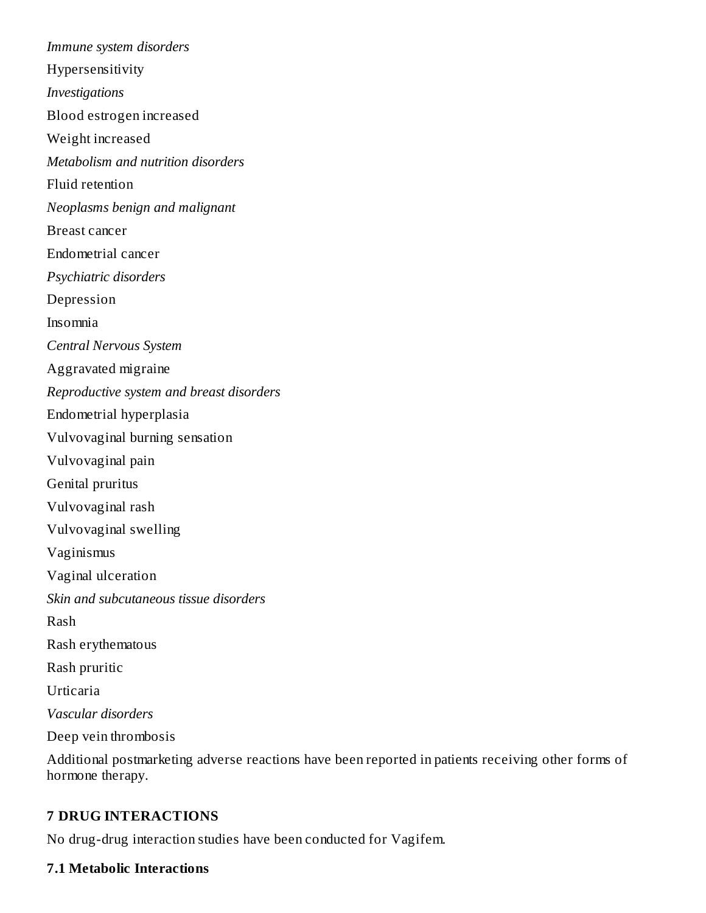*Immune system disorders* Hypersensitivity *Investigations* Blood estrogen increased Weight increased *Metabolism and nutrition disorders* Fluid retention *Neoplasms benign and malignant* Breast cancer Endometrial cancer *Psychiatric disorders* Depression Insomnia *Central Nervous System* Aggravated migraine *Reproductive system and breast disorders* Endometrial hyperplasia Vulvovaginal burning sensation Vulvovaginal pain Genital pruritus Vulvovaginal rash Vulvovaginal swelling Vaginismus Vaginal ulceration *Skin and subcutaneous tissue disorders* Rash Rash erythematous Rash pruritic Urticaria *Vascular disorders* Deep vein thrombosis

Additional postmarketing adverse reactions have been reported in patients receiving other forms of hormone therapy.

#### **7 DRUG INTERACTIONS**

No drug-drug interaction studies have been conducted for Vagifem.

#### **7.1 Metabolic Interactions**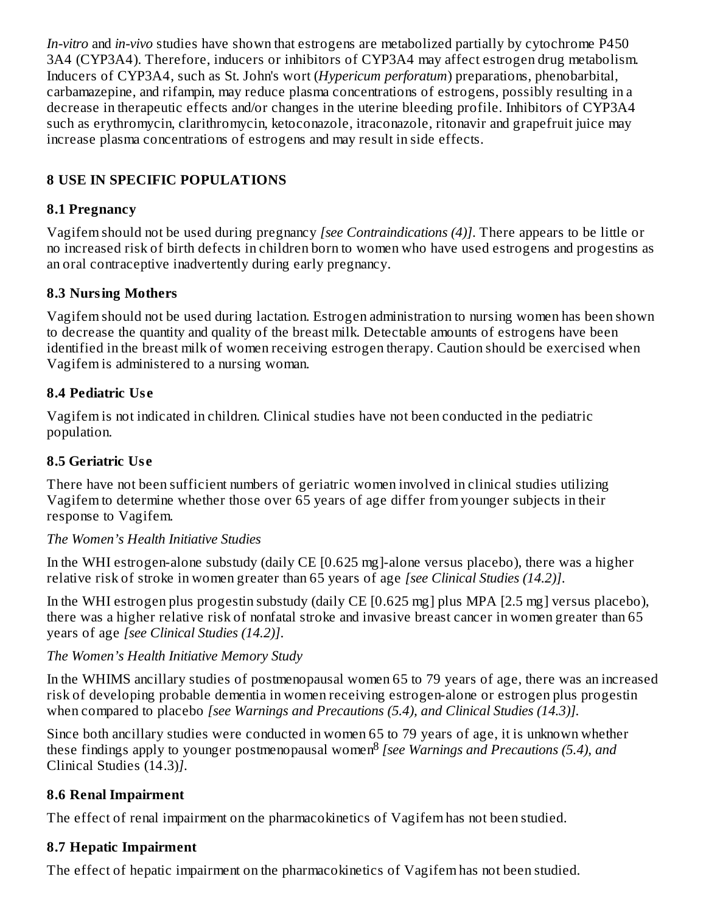*In-vitro* and *in-vivo* studies have shown that estrogens are metabolized partially by cytochrome P450 3A4 (CYP3A4). Therefore, inducers or inhibitors of CYP3A4 may affect estrogen drug metabolism. Inducers of CYP3A4, such as St. John's wort (*Hypericum perforatum*) preparations, phenobarbital, carbamazepine, and rifampin, may reduce plasma concentrations of estrogens, possibly resulting in a decrease in therapeutic effects and/or changes in the uterine bleeding profile. Inhibitors of CYP3A4 such as erythromycin, clarithromycin, ketoconazole, itraconazole, ritonavir and grapefruit juice may increase plasma concentrations of estrogens and may result in side effects.

### **8 USE IN SPECIFIC POPULATIONS**

### **8.1 Pregnancy**

Vagifem should not be used during pregnancy *[see Contraindications (4)]*. There appears to be little or no increased risk of birth defects in children born to women who have used estrogens and progestins as an oral contraceptive inadvertently during early pregnancy.

### **8.3 Nursing Mothers**

Vagifem should not be used during lactation. Estrogen administration to nursing women has been shown to decrease the quantity and quality of the breast milk. Detectable amounts of estrogens have been identified in the breast milk of women receiving estrogen therapy. Caution should be exercised when Vagifem is administered to a nursing woman.

### **8.4 Pediatric Us e**

Vagifem is not indicated in children. Clinical studies have not been conducted in the pediatric population.

### **8.5 Geriatric Us e**

There have not been sufficient numbers of geriatric women involved in clinical studies utilizing Vagifem to determine whether those over 65 years of age differ from younger subjects in their response to Vagifem.

### *The Women's Health Initiative Studies*

In the WHI estrogen-alone substudy (daily CE [0.625 mg]-alone versus placebo), there was a higher relative risk of stroke in women greater than 65 years of age *[see Clinical Studies (14.2)]*.

In the WHI estrogen plus progestin substudy (daily CE [0.625 mg] plus MPA [2.5 mg] versus placebo), there was a higher relative risk of nonfatal stroke and invasive breast cancer in women greater than 65 years of age *[see Clinical Studies (14.2)]*.

### *The Women's Health Initiative Memory Study*

In the WHIMS ancillary studies of postmenopausal women 65 to 79 years of age, there was an increased risk of developing probable dementia in women receiving estrogen-alone or estrogen plus progestin when compared to placebo *[see Warnings and Precautions (5.4), and Clinical Studies (14.3)].*

Since both ancillary studies were conducted in women 65 to 79 years of age, it is unknown whether these findings apply to younger postmenopausal women<sup>8</sup> [see Warnings and Precautions (5.4), and Clinical Studies (14.3)*]*.

### **8.6 Renal Impairment**

The effect of renal impairment on the pharmacokinetics of Vagifem has not been studied.

### **8.7 Hepatic Impairment**

The effect of hepatic impairment on the pharmacokinetics of Vagifem has not been studied.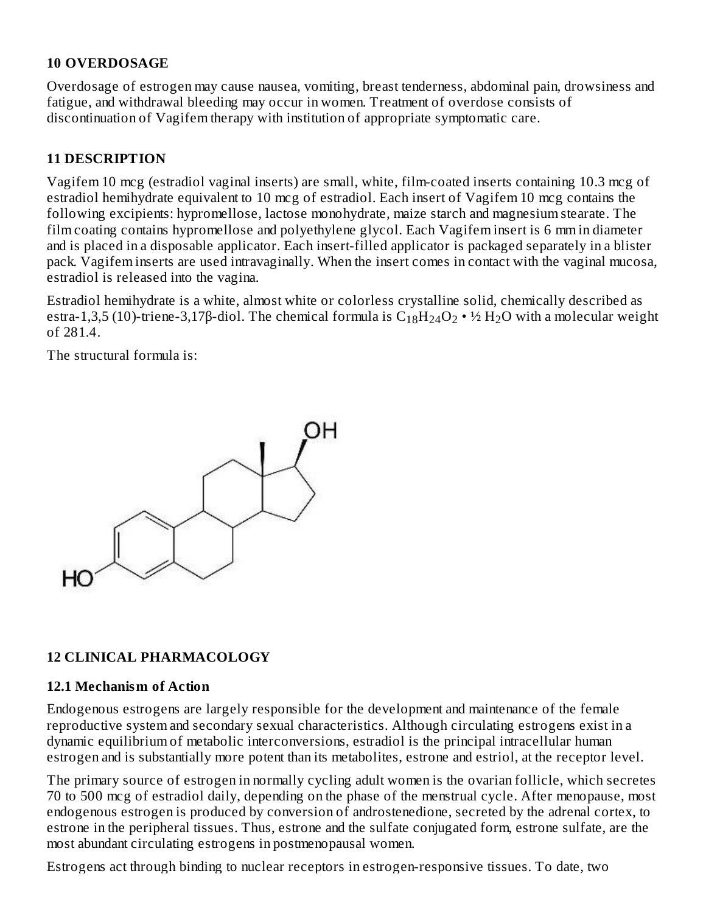### **10 OVERDOSAGE**

Overdosage of estrogen may cause nausea, vomiting, breast tenderness, abdominal pain, drowsiness and fatigue, and withdrawal bleeding may occur in women. Treatment of overdose consists of discontinuation of Vagifem therapy with institution of appropriate symptomatic care.

### **11 DESCRIPTION**

Vagifem 10 mcg (estradiol vaginal inserts) are small, white, film-coated inserts containing 10.3 mcg of estradiol hemihydrate equivalent to 10 mcg of estradiol. Each insert of Vagifem 10 mcg contains the following excipients: hypromellose, lactose monohydrate, maize starch and magnesium stearate. The film coating contains hypromellose and polyethylene glycol. Each Vagifem insert is 6 mm in diameter and is placed in a disposable applicator. Each insert-filled applicator is packaged separately in a blister pack. Vagifem inserts are used intravaginally. When the insert comes in contact with the vaginal mucosa, estradiol is released into the vagina.

Estradiol hemihydrate is a white, almost white or colorless crystalline solid, chemically described as estra-1,3,5 (10)-triene-3,17β-diol. The chemical formula is  $\rm{C_{18}H_{24}O_2}$  • ½  $\rm{H_2O}$  with a molecular weight of 281.4.

The structural formula is:



### **12 CLINICAL PHARMACOLOGY**

#### **12.1 Mechanism of Action**

Endogenous estrogens are largely responsible for the development and maintenance of the female reproductive system and secondary sexual characteristics. Although circulating estrogens exist in a dynamic equilibrium of metabolic interconversions, estradiol is the principal intracellular human estrogen and is substantially more potent than its metabolites, estrone and estriol, at the receptor level.

The primary source of estrogen in normally cycling adult women is the ovarian follicle, which secretes 70 to 500 mcg of estradiol daily, depending on the phase of the menstrual cycle. After menopause, most endogenous estrogen is produced by conversion of androstenedione, secreted by the adrenal cortex, to estrone in the peripheral tissues. Thus, estrone and the sulfate conjugated form, estrone sulfate, are the most abundant circulating estrogens in postmenopausal women.

Estrogens act through binding to nuclear receptors in estrogen-responsive tissues. To date, two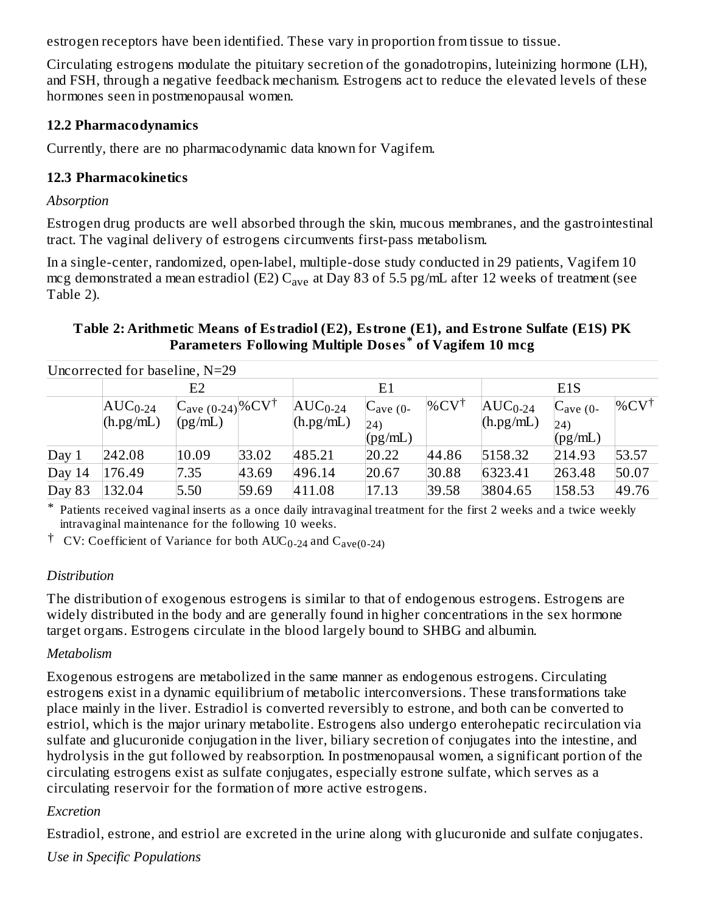estrogen receptors have been identified. These vary in proportion from tissue to tissue.

Circulating estrogens modulate the pituitary secretion of the gonadotropins, luteinizing hormone (LH), and FSH, through a negative feedback mechanism. Estrogens act to reduce the elevated levels of these hormones seen in postmenopausal women.

#### **12.2 Pharmacodynamics**

Currently, there are no pharmacodynamic data known for Vagifem.

### **12.3 Pharmacokinetics**

#### *Absorption*

Estrogen drug products are well absorbed through the skin, mucous membranes, and the gastrointestinal tract. The vaginal delivery of estrogens circumvents first-pass metabolism.

In a single-center, randomized, open-label, multiple-dose study conducted in 29 patients, Vagifem 10 mcg demonstrated a mean estradiol (E2)  $\rm{C_{ave}}$  at Day 83 of 5.5 pg/mL after 12 weeks of treatment (see Table 2).

### **Table 2: Arithmetic Means of Estradiol (E2), Estrone (E1), and Estrone Sulfate (E1S) PK Parameters Following Multiple Dos es of Vagifem 10 mcg \***

|        | Uncorrected for baseline, N=29                      |                                                  |       |                           |                                           |                  |                           |                                           |                      |
|--------|-----------------------------------------------------|--------------------------------------------------|-------|---------------------------|-------------------------------------------|------------------|---------------------------|-------------------------------------------|----------------------|
|        |                                                     | E2                                               |       |                           | E1                                        |                  |                           | E <sub>1</sub> S                          |                      |
|        | $\vert \text{AUC}_{0\text{-}24} \vert$<br>(h.pg/mL) | $C_{\text{ave (0-24)}}\%CV^{\dagger}$<br>(pg/mL) |       | $AUC_{0-24}$<br>(h.pg/mL) | $C_{\text{ave (0-1)}}$<br>(24)<br>(pg/mL) | $\%CV^{\dagger}$ | $AUC_{0-24}$<br>(h.pg/mL) | $C_{\text{ave (0-1)}}$<br>(24)<br>(pg/mL) | $\%$ CV <sup>†</sup> |
| Day 1  | 242.08                                              | 10.09                                            | 33.02 | 485.21                    | 20.22                                     | 44.86            | 5158.32                   | 214.93                                    | 53.57                |
| Day 14 | 176.49                                              | 7.35                                             | 43.69 | 496.14                    | 20.67                                     | 30.88            | 6323.41                   | 263.48                                    | 50.07                |
| Day 83 | 132.04                                              | 5.50                                             | 59.69 | 411.08                    | 17.13                                     | 39.58            | 3804.65                   | 158.53                                    | 49.76                |

\* Patients received vaginal inserts as a once daily intravaginal treatment for the first 2 weeks and a twice weekly intravaginal maintenance for the following 10 weeks.

<sup>†</sup> CV: Coefficient of Variance for both  $\text{AUC}_{0-24}$  and  $\text{C}_{\text{ave}(0-24)}$ 

### *Distribution*

The distribution of exogenous estrogens is similar to that of endogenous estrogens. Estrogens are widely distributed in the body and are generally found in higher concentrations in the sex hormone target organs. Estrogens circulate in the blood largely bound to SHBG and albumin.

### *Metabolism*

Exogenous estrogens are metabolized in the same manner as endogenous estrogens. Circulating estrogens exist in a dynamic equilibrium of metabolic interconversions. These transformations take place mainly in the liver. Estradiol is converted reversibly to estrone, and both can be converted to estriol, which is the major urinary metabolite. Estrogens also undergo enterohepatic recirculation via sulfate and glucuronide conjugation in the liver, biliary secretion of conjugates into the intestine, and hydrolysis in the gut followed by reabsorption. In postmenopausal women, a significant portion of the circulating estrogens exist as sulfate conjugates, especially estrone sulfate, which serves as a circulating reservoir for the formation of more active estrogens.

### *Excretion*

Estradiol, estrone, and estriol are excreted in the urine along with glucuronide and sulfate conjugates.

*Use in Specific Populations*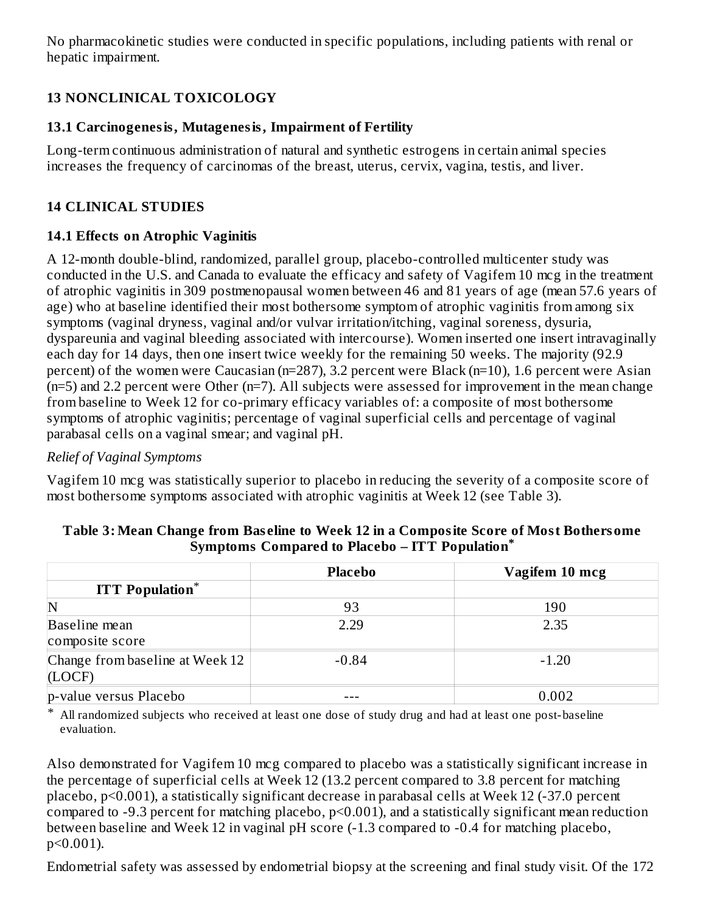No pharmacokinetic studies were conducted in specific populations, including patients with renal or hepatic impairment.

### **13 NONCLINICAL TOXICOLOGY**

### **13.1 Carcinogenesis, Mutagenesis, Impairment of Fertility**

Long-term continuous administration of natural and synthetic estrogens in certain animal species increases the frequency of carcinomas of the breast, uterus, cervix, vagina, testis, and liver.

### **14 CLINICAL STUDIES**

### **14.1 Effects on Atrophic Vaginitis**

A 12-month double-blind, randomized, parallel group, placebo-controlled multicenter study was conducted in the U.S. and Canada to evaluate the efficacy and safety of Vagifem 10 mcg in the treatment of atrophic vaginitis in 309 postmenopausal women between 46 and 81 years of age (mean 57.6 years of age) who at baseline identified their most bothersome symptom of atrophic vaginitis from among six symptoms (vaginal dryness, vaginal and/or vulvar irritation/itching, vaginal soreness, dysuria, dyspareunia and vaginal bleeding associated with intercourse). Women inserted one insert intravaginally each day for 14 days, then one insert twice weekly for the remaining 50 weeks. The majority (92.9 percent) of the women were Caucasian (n=287), 3.2 percent were Black (n=10), 1.6 percent were Asian (n=5) and 2.2 percent were Other (n=7). All subjects were assessed for improvement in the mean change from baseline to Week 12 for co-primary efficacy variables of: a composite of most bothersome symptoms of atrophic vaginitis; percentage of vaginal superficial cells and percentage of vaginal parabasal cells on a vaginal smear; and vaginal pH.

### *Relief of Vaginal Symptoms*

Vagifem 10 mcg was statistically superior to placebo in reducing the severity of a composite score of most bothersome symptoms associated with atrophic vaginitis at Week 12 (see Table 3).

|                                 | <b>Placebo</b> | Vagifem 10 mcg |
|---------------------------------|----------------|----------------|
| <b>ITT</b> Population*          |                |                |
| N                               | 93             | 190            |
| Baseline mean                   | 2.29           | 2.35           |
| composite score                 |                |                |
| Change from baseline at Week 12 | $-0.84$        | $-1.20$        |
| (LOCF)                          |                |                |
| p-value versus Placebo          |                | 0.002          |

#### **Table 3: Mean Change from Bas eline to Week 12 in a Composite Score of Most Bothersome Symptoms Compared to Placebo – ITT Population \***

\* All randomized subjects who received at least one dose of study drug and had at least one post-baseline evaluation.

Also demonstrated for Vagifem 10 mcg compared to placebo was a statistically significant increase in the percentage of superficial cells at Week 12 (13.2 percent compared to 3.8 percent for matching placebo, p<0.001), a statistically significant decrease in parabasal cells at Week 12 (-37.0 percent compared to -9.3 percent for matching placebo, p<0.001), and a statistically significant mean reduction between baseline and Week 12 in vaginal pH score (-1.3 compared to -0.4 for matching placebo, p<0.001).

Endometrial safety was assessed by endometrial biopsy at the screening and final study visit. Of the 172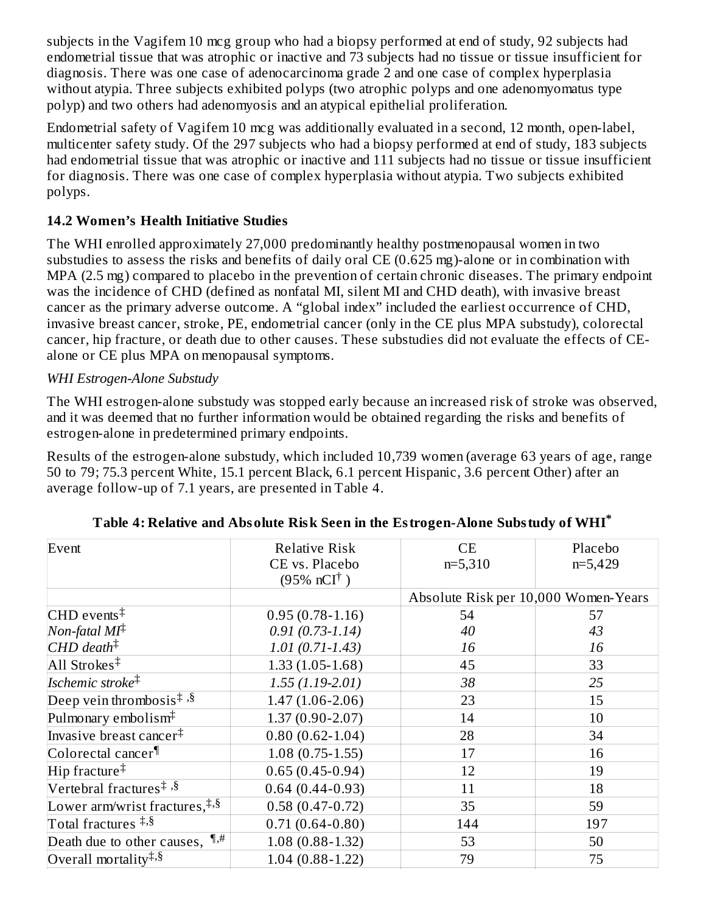subjects in the Vagifem 10 mcg group who had a biopsy performed at end of study, 92 subjects had endometrial tissue that was atrophic or inactive and 73 subjects had no tissue or tissue insufficient for diagnosis. There was one case of adenocarcinoma grade 2 and one case of complex hyperplasia without atypia. Three subjects exhibited polyps (two atrophic polyps and one adenomyomatus type polyp) and two others had adenomyosis and an atypical epithelial proliferation.

Endometrial safety of Vagifem 10 mcg was additionally evaluated in a second, 12 month, open-label, multicenter safety study. Of the 297 subjects who had a biopsy performed at end of study, 183 subjects had endometrial tissue that was atrophic or inactive and 111 subjects had no tissue or tissue insufficient for diagnosis. There was one case of complex hyperplasia without atypia. Two subjects exhibited polyps.

### **14.2 Women's Health Initiative Studies**

The WHI enrolled approximately 27,000 predominantly healthy postmenopausal women in two substudies to assess the risks and benefits of daily oral CE (0.625 mg)-alone or in combination with MPA (2.5 mg) compared to placebo in the prevention of certain chronic diseases. The primary endpoint was the incidence of CHD (defined as nonfatal MI, silent MI and CHD death), with invasive breast cancer as the primary adverse outcome. A "global index" included the earliest occurrence of CHD, invasive breast cancer, stroke, PE, endometrial cancer (only in the CE plus MPA substudy), colorectal cancer, hip fracture, or death due to other causes. These substudies did not evaluate the effects of CEalone or CE plus MPA on menopausal symptoms.

### *WHI Estrogen-Alone Substudy*

The WHI estrogen-alone substudy was stopped early because an increased risk of stroke was observed, and it was deemed that no further information would be obtained regarding the risks and benefits of estrogen-alone in predetermined primary endpoints.

Results of the estrogen-alone substudy, which included 10,739 women (average 63 years of age, range 50 to 79; 75.3 percent White, 15.1 percent Black, 6.1 percent Hispanic, 3.6 percent Other) after an average follow-up of 7.1 years, are presented in Table 4.

| Event                                                    | <b>Relative Risk</b><br>CE vs. Placebo<br>$(95\% \; nCI^{\dagger})$ | CE<br>$n=5,310$                      | Placebo<br>$n=5,429$ |
|----------------------------------------------------------|---------------------------------------------------------------------|--------------------------------------|----------------------|
|                                                          |                                                                     | Absolute Risk per 10,000 Women-Years |                      |
| CHD events $\ddagger$                                    | $0.95(0.78-1.16)$                                                   | 54                                   | 57                   |
| Non-fatal $MI^{\ddagger}$                                | $0.91(0.73-1.14)$                                                   | 40                                   | 43                   |
| $CHD$ death <sup><math>\ddagger</math></sup>             | $1.01(0.71 - 1.43)$                                                 | 16                                   | 16                   |
| All Strokes <sup>‡</sup>                                 | $1.33(1.05-1.68)$                                                   | 45                                   | 33                   |
| Ischemic stroke <sup>‡</sup>                             | $1.55(1.19-2.01)$                                                   | 38                                   | 25                   |
| Deep vein thrombosis <sup><math>‡</math>,§</sup>         | $1.47(1.06 - 2.06)$                                                 | 23                                   | 15                   |
| Pulmonary embolism <sup>‡</sup>                          | $1.37(0.90 - 2.07)$                                                 | 14                                   | 10                   |
| Invasive breast cancer <sup>‡</sup>                      | $0.80(0.62 - 1.04)$                                                 | 28                                   | 34                   |
| Colorectal cancer <sup>¶</sup>                           | $1.08(0.75-1.55)$                                                   | 17                                   | 16                   |
| $\text{Hip}$ fracture <sup><math>\ddagger</math></sup>   | $0.65(0.45-0.94)$                                                   | 12                                   | 19                   |
| Vertebral fractures <sup>‡,§</sup>                       | $0.64(0.44 - 0.93)$                                                 | 11                                   | 18                   |
| Lower arm/wrist fractures, $\frac{1}{4}$ , $\frac{8}{8}$ | $0.58(0.47-0.72)$                                                   | 35                                   | 59                   |
| Total fractures $\ddagger$ , $\delta$                    | $0.71(0.64 - 0.80)$                                                 | 144                                  | 197                  |
| Death due to other causes, $\P$ ,#                       | $1.08(0.88-1.32)$                                                   | 53                                   | 50                   |
| Overall mortality <sup>‡,§</sup>                         | $1.04(0.88-1.22)$                                                   | 79                                   | 75                   |

| Table 4: Relative and Absolute Risk Seen in the Estrogen-Alone Substudy of WHI $^\ast$ |
|----------------------------------------------------------------------------------------|
|----------------------------------------------------------------------------------------|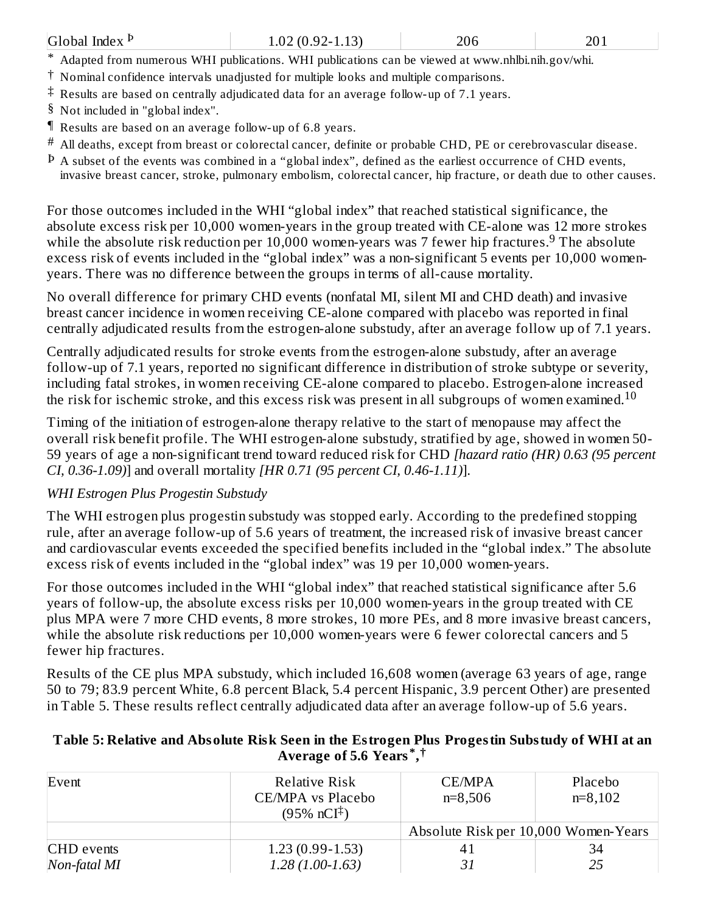| Global Index P<br>$1.02(0.92 - 1.13)$<br>206<br>201                                                |  |  |  |  |  |  |
|----------------------------------------------------------------------------------------------------|--|--|--|--|--|--|
| * Adapted from numerous WHI publications. WHI publications can be viewed at www.nhlbi.nih.gov/whi. |  |  |  |  |  |  |

- † Nominal confidence intervals unadjusted for multiple looks and multiple comparisons.
- ‡ Results are based on centrally adjudicated data for an average follow-up of 7.1 years.
- § Not included in "global index".
- ¶ Results are based on an average follow-up of 6.8 years.
- $^\#$  All deaths, except from breast or colorectal cancer, definite or probable CHD, PE or cerebrovascular disease.
- $^{\rm p}$  A subset of the events was combined in a "global index", defined as the earliest occurrence of CHD events, invasive breast cancer, stroke, pulmonary embolism, colorectal cancer, hip fracture, or death due to other causes.

For those outcomes included in the WHI "global index" that reached statistical significance, the absolute excess risk per 10,000 women-years in the group treated with CE-alone was 12 more strokes while the absolute risk reduction per 10,000 women-years was 7 fewer hip fractures.<sup>9</sup> The absolute excess risk of events included in the "global index" was a non-significant 5 events per 10,000 womenyears. There was no difference between the groups in terms of all-cause mortality*.*

No overall difference for primary CHD events (nonfatal MI, silent MI and CHD death) and invasive breast cancer incidence in women receiving CE-alone compared with placebo was reported in final centrally adjudicated results from the estrogen-alone substudy, after an average follow up of 7.1 years.

Centrally adjudicated results for stroke events from the estrogen-alone substudy, after an average follow-up of 7.1 years, reported no significant difference in distribution of stroke subtype or severity, including fatal strokes, in women receiving CE-alone compared to placebo. Estrogen-alone increased the risk for ischemic stroke, and this excess risk was present in all subgroups of women examined.<sup>10</sup>

Timing of the initiation of estrogen-alone therapy relative to the start of menopause may affect the overall risk benefit profile. The WHI estrogen-alone substudy, stratified by age, showed in women 50- 59 years of age a non-significant trend toward reduced risk for CHD *[hazard ratio (HR) 0.63 (95 percent CI, 0.36-1.09)*] and overall mortality *[HR 0.71 (95 percent CI, 0.46-1.11)*].

### *WHI Estrogen Plus Progestin Substudy*

The WHI estrogen plus progestin substudy was stopped early. According to the predefined stopping rule, after an average follow-up of 5.6 years of treatment, the increased risk of invasive breast cancer and cardiovascular events exceeded the specified benefits included in the "global index." The absolute excess risk of events included in the "global index" was 19 per 10,000 women-years.

For those outcomes included in the WHI "global index" that reached statistical significance after 5.6 years of follow-up, the absolute excess risks per 10,000 women-years in the group treated with CE plus MPA were 7 more CHD events, 8 more strokes, 10 more PEs, and 8 more invasive breast cancers, while the absolute risk reductions per 10,000 women-years were 6 fewer colorectal cancers and 5 fewer hip fractures.

Results of the CE plus MPA substudy, which included 16,608 women (average 63 years of age, range 50 to 79; 83.9 percent White, 6.8 percent Black, 5.4 percent Hispanic, 3.9 percent Other) are presented in Table 5. These results reflect centrally adjudicated data after an average follow-up of 5.6 years.

#### **Table 5: Relative and Absolute Risk Seen in the Estrogen Plus Progestin Substudy of WHI at an Average of 5.6 Years , \* †**

| Event        | Relative Risk<br>CE/MPA vs Placebo | CE/MPA<br>$n=8,506$                  | Placebo<br>$n=8,102$ |  |
|--------------|------------------------------------|--------------------------------------|----------------------|--|
|              | $(95\% \text{ nCI}^{\ddagger})$    | Absolute Risk per 10,000 Women-Years |                      |  |
| CHD events   | $1.23(0.99-1.53)$                  | 41                                   | 34                   |  |
| Non-fatal MI | $1.28(1.00-1.63)$                  | 31                                   | 25                   |  |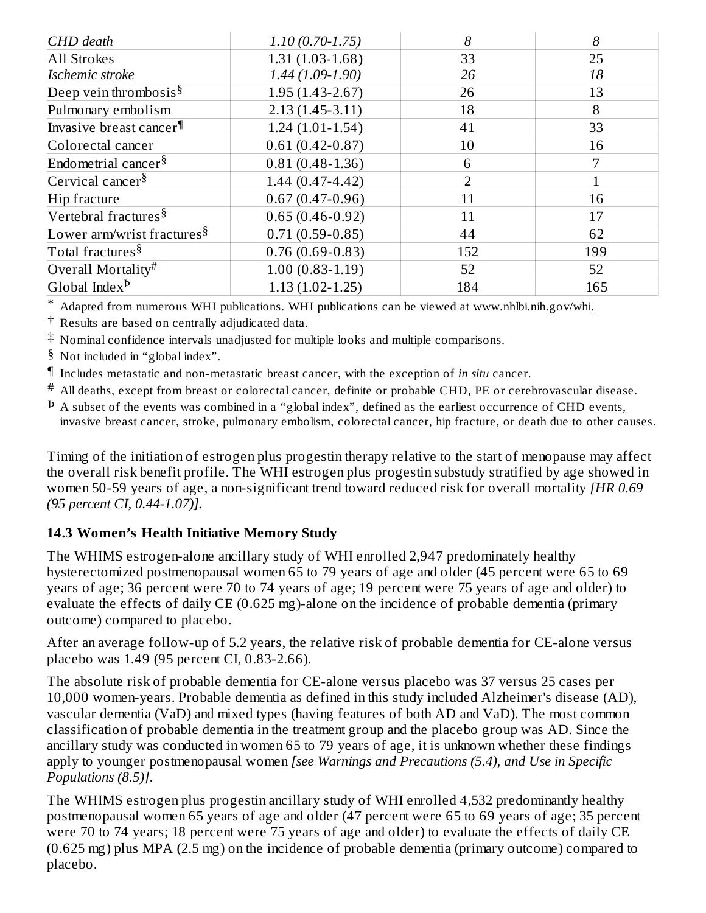| CHD death                              | $1.10(0.70-1.75)$   | 8              | 8   |
|----------------------------------------|---------------------|----------------|-----|
| All Strokes                            | $1.31(1.03-1.68)$   | 33             | 25  |
| Ischemic stroke                        | $1.44(1.09-1.90)$   | 26             | 18  |
| Deep vein thrombosis <sup>§</sup>      | $1.95(1.43-2.67)$   | 26             | 13  |
| Pulmonary embolism                     | $2.13(1.45-3.11)$   | 18             | 8   |
| Invasive breast cancer <sup>¶</sup>    | $1.24(1.01-1.54)$   | 41             | 33  |
| Colorectal cancer                      | $0.61(0.42 - 0.87)$ | 10             | 16  |
| Endometrial cancer <sup>§</sup>        | $0.81(0.48-1.36)$   | 6              |     |
| Cervical cancer $\frac{8}{3}$          | $1.44(0.47 - 4.42)$ | $\overline{2}$ |     |
| Hip fracture                           | $0.67(0.47-0.96)$   | 11             | 16  |
| Vertebral fractures <sup>§</sup>       | $0.65(0.46 - 0.92)$ | 11             | 17  |
| Lower arm/wrist fractures <sup>§</sup> | $0.71(0.59 - 0.85)$ | 44             | 62  |
| Total fractures <sup>§</sup>           | $0.76(0.69 - 0.83)$ | 152            | 199 |
| Overall Mortality#                     | $1.00(0.83-1.19)$   | 52             | 52  |
| Global Index $P$                       | $1.13(1.02 - 1.25)$ | 184            | 165 |

\* Adapted from numerous WHI publications. WHI publications can be viewed at www.nhlbi.nih.gov/whi.

- $^\dagger$  Results are based on centrally adjudicated data.
- ‡ Nominal confidence intervals unadjusted for multiple looks and multiple comparisons.
- § Not included in "global index".
- ¶ Includes metastatic and non-metastatic breast cancer, with the exception of *in situ* cancer.
- $^\#$  All deaths, except from breast or colorectal cancer, definite or probable CHD, PE or cerebrovascular disease.
- $^{\rm p}$  A subset of the events was combined in a "global index", defined as the earliest occurrence of CHD events, invasive breast cancer, stroke, pulmonary embolism, colorectal cancer, hip fracture, or death due to other causes.

Timing of the initiation of estrogen plus progestin therapy relative to the start of menopause may affect the overall risk benefit profile. The WHI estrogen plus progestin substudy stratified by age showed in women 50-59 years of age, a non-significant trend toward reduced risk for overall mortality *[HR 0.69 (95 percent CI, 0.44-1.07)].*

### **14.3 Women's Health Initiative Memory Study**

The WHIMS estrogen-alone ancillary study of WHI enrolled 2,947 predominately healthy hysterectomized postmenopausal women 65 to 79 years of age and older (45 percent were 65 to 69 years of age; 36 percent were 70 to 74 years of age; 19 percent were 75 years of age and older) to evaluate the effects of daily CE (0.625 mg)-alone on the incidence of probable dementia (primary outcome) compared to placebo.

After an average follow-up of 5.2 years, the relative risk of probable dementia for CE-alone versus placebo was 1.49 (95 percent CI, 0.83-2.66).

The absolute risk of probable dementia for CE-alone versus placebo was 37 versus 25 cases per 10,000 women-years. Probable dementia as defined in this study included Alzheimer's disease (AD), vascular dementia (VaD) and mixed types (having features of both AD and VaD). The most common classification of probable dementia in the treatment group and the placebo group was AD. Since the ancillary study was conducted in women 65 to 79 years of age, it is unknown whether these findings apply to younger postmenopausal women *[see Warnings and Precautions (5.4), and Use in Specific Populations (8.5)]*.

The WHIMS estrogen plus progestin ancillary study of WHI enrolled 4,532 predominantly healthy postmenopausal women 65 years of age and older (47 percent were 65 to 69 years of age; 35 percent were 70 to 74 years; 18 percent were 75 years of age and older) to evaluate the effects of daily CE (0.625 mg) plus MPA (2.5 mg) on the incidence of probable dementia (primary outcome) compared to placebo.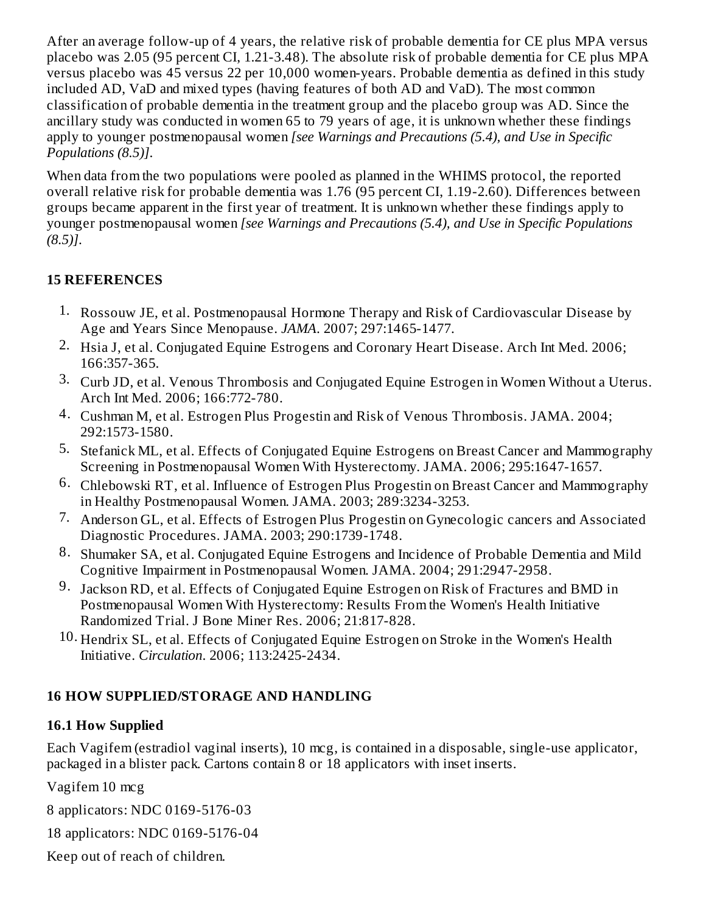After an average follow-up of 4 years, the relative risk of probable dementia for CE plus MPA versus placebo was 2.05 (95 percent CI, 1.21-3.48). The absolute risk of probable dementia for CE plus MPA versus placebo was 45 versus 22 per 10,000 women-years. Probable dementia as defined in this study included AD, VaD and mixed types (having features of both AD and VaD). The most common classification of probable dementia in the treatment group and the placebo group was AD. Since the ancillary study was conducted in women 65 to 79 years of age, it is unknown whether these findings apply to younger postmenopausal women *[see Warnings and Precautions (5.4), and Use in Specific Populations (8.5)]*.

When data from the two populations were pooled as planned in the WHIMS protocol, the reported overall relative risk for probable dementia was 1.76 (95 percent CI, 1.19-2.60). Differences between groups became apparent in the first year of treatment. It is unknown whether these findings apply to younger postmenopausal women *[see Warnings and Precautions (5.4), and Use in Specific Populations (8.5)]*.

### **15 REFERENCES**

- 1. Rossouw JE, et al. Postmenopausal Hormone Therapy and Risk of Cardiovascular Disease by Age and Years Since Menopause. *JAMA*. 2007; 297:1465-1477.
- 2. Hsia J, et al. Conjugated Equine Estrogens and Coronary Heart Disease. Arch Int Med. 2006; 166:357-365.
- 3. Curb JD, et al. Venous Thrombosis and Conjugated Equine Estrogen in Women Without a Uterus. Arch Int Med. 2006; 166:772-780.
- 4. Cushman M, et al. Estrogen Plus Progestin and Risk of Venous Thrombosis. JAMA. 2004; 292:1573-1580.
- 5. Stefanick ML, et al. Effects of Conjugated Equine Estrogens on Breast Cancer and Mammography Screening in Postmenopausal Women With Hysterectomy. JAMA. 2006; 295:1647-1657.
- 6. Chlebowski RT, et al. Influence of Estrogen Plus Progestin on Breast Cancer and Mammography in Healthy Postmenopausal Women. JAMA. 2003; 289:3234-3253.
- 7. Anderson GL, et al. Effects of Estrogen Plus Progestin on Gynecologic cancers and Associated Diagnostic Procedures. JAMA. 2003; 290:1739-1748.
- 8. Shumaker SA, et al. Conjugated Equine Estrogens and Incidence of Probable Dementia and Mild Cognitive Impairment in Postmenopausal Women. JAMA. 2004; 291:2947-2958.
- 9. Jackson RD, et al. Effects of Conjugated Equine Estrogen on Risk of Fractures and BMD in Postmenopausal Women With Hysterectomy: Results From the Women's Health Initiative Randomized Trial. J Bone Miner Res. 2006; 21:817-828.
- 10. Hendrix SL, et al. Effects of Conjugated Equine Estrogen on Stroke in the Women's Health Initiative. *Circulation*. 2006; 113:2425-2434.

### **16 HOW SUPPLIED/STORAGE AND HANDLING**

### **16.1 How Supplied**

Each Vagifem (estradiol vaginal inserts), 10 mcg, is contained in a disposable, single-use applicator, packaged in a blister pack. Cartons contain 8 or 18 applicators with inset inserts.

Vagifem 10 mcg

8 applicators: NDC 0169-5176-03

18 applicators: NDC 0169-5176-04

Keep out of reach of children.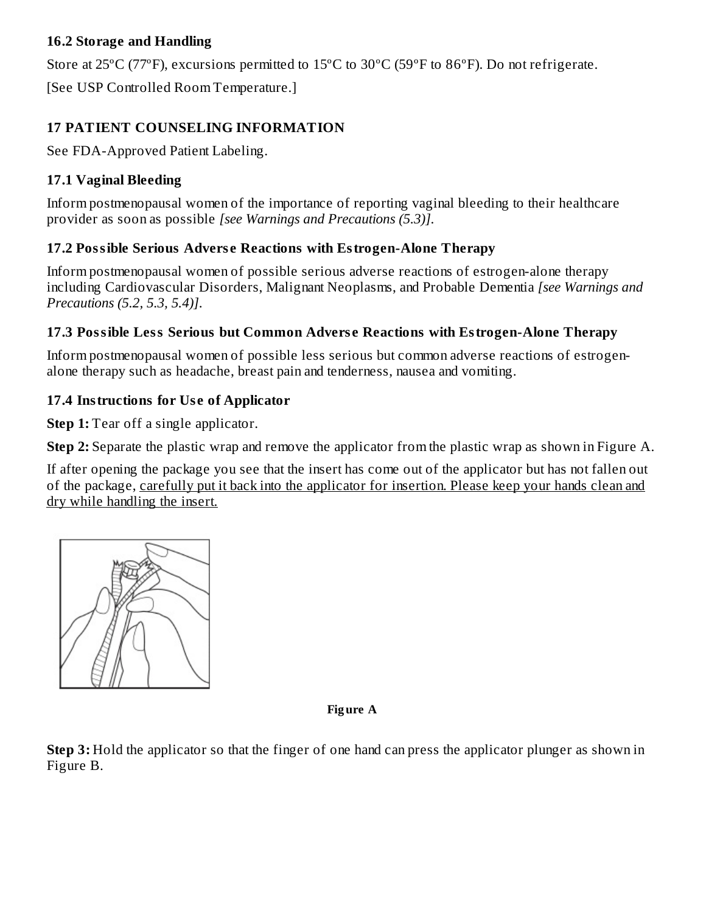### **16.2 Storage and Handling**

Store at 25ºC (77ºF), excursions permitted to 15ºC to 30ºC (59ºF to 86ºF). Do not refrigerate.

[See USP Controlled Room Temperature.]

### **17 PATIENT COUNSELING INFORMATION**

See FDA-Approved Patient Labeling.

### **17.1 Vaginal Bleeding**

Inform postmenopausal women of the importance of reporting vaginal bleeding to their healthcare provider as soon as possible *[see Warnings and Precautions (5.3)]*.

### **17.2 Possible Serious Advers e Reactions with Estrogen-Alone Therapy**

Inform postmenopausal women of possible serious adverse reactions of estrogen-alone therapy including Cardiovascular Disorders, Malignant Neoplasms, and Probable Dementia *[see Warnings and Precautions (5.2, 5.3, 5.4)]*.

### **17.3 Possible Less Serious but Common Advers e Reactions with Estrogen-Alone Therapy**

Inform postmenopausal women of possible less serious but common adverse reactions of estrogenalone therapy such as headache, breast pain and tenderness, nausea and vomiting.

### **17.4 Instructions for Us e of Applicator**

**Step 1:** Tear off a single applicator.

**Step 2:** Separate the plastic wrap and remove the applicator from the plastic wrap as shown in Figure A.

If after opening the package you see that the insert has come out of the applicator but has not fallen out of the package, carefully put it back into the applicator for insertion. Please keep your hands clean and dry while handling the insert.



#### **Fig ure A**

**Step 3:** Hold the applicator so that the finger of one hand can press the applicator plunger as shown in Figure B.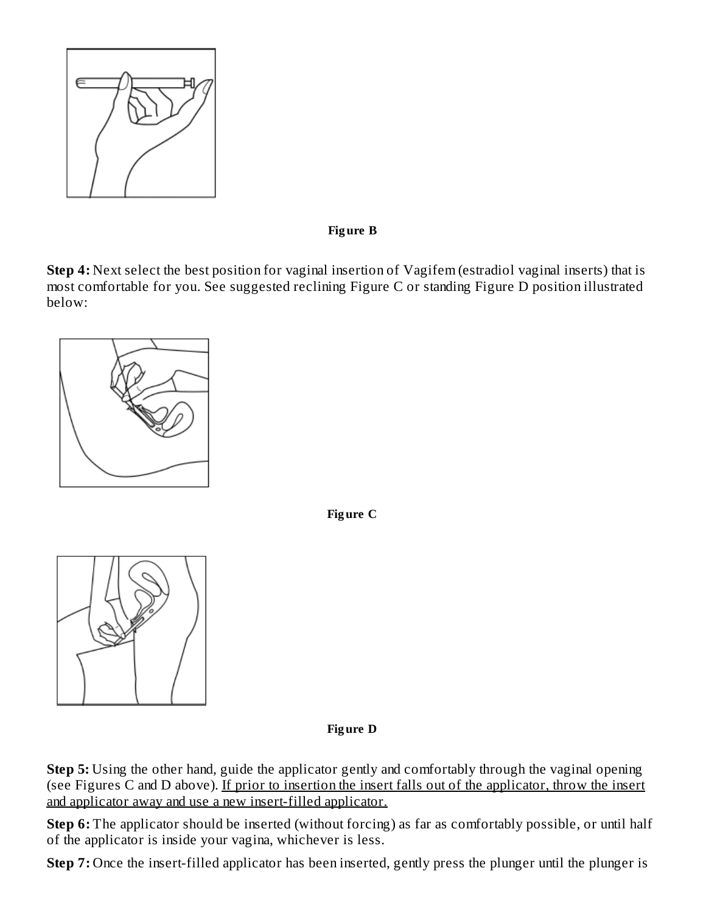

**Fig ure B**

**Step 4:** Next select the best position for vaginal insertion of Vagifem (estradiol vaginal inserts) that is most comfortable for you. See suggested reclining Figure C or standing Figure D position illustrated below:



**Fig ure C**



**Fig ure D**

**Step 5:** Using the other hand, guide the applicator gently and comfortably through the vaginal opening (see Figures C and D above). If prior to insertion the insert falls out of the applicator, throw the insert and applicator away and use a new insert-filled applicator.

**Step 6:** The applicator should be inserted (without forcing) as far as comfortably possible, or until half of the applicator is inside your vagina, whichever is less.

**Step 7:** Once the insert-filled applicator has been inserted, gently press the plunger until the plunger is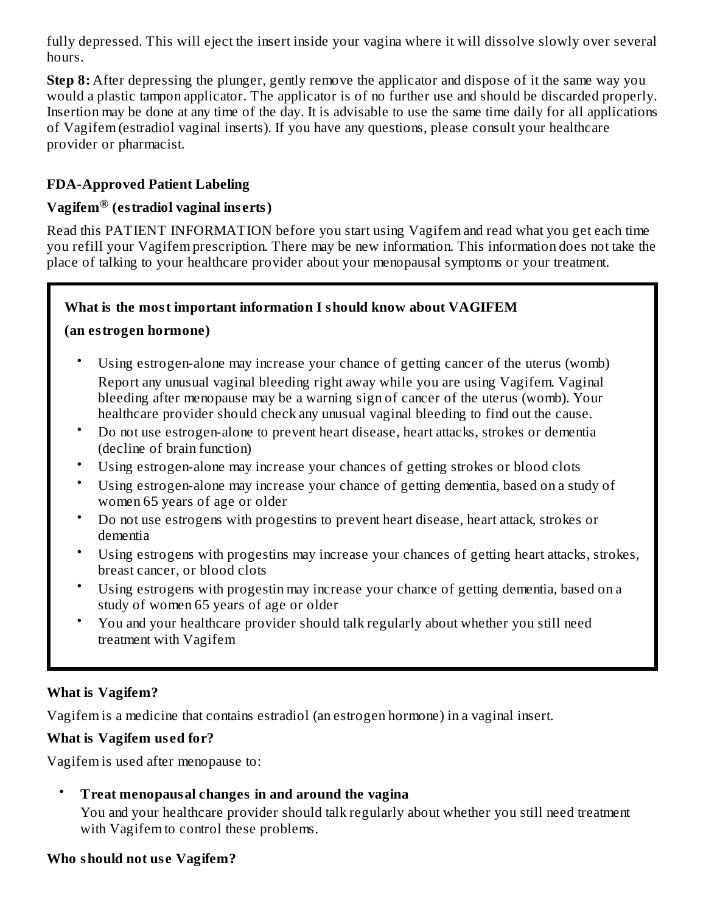fully depressed. This will eject the insert inside your vagina where it will dissolve slowly over several hours.

**Step 8:** After depressing the plunger, gently remove the applicator and dispose of it the same way you would a plastic tampon applicator. The applicator is of no further use and should be discarded properly. Insertion may be done at any time of the day. It is advisable to use the same time daily for all applications of Vagifem (estradiol vaginal inserts). If you have any questions, please consult your healthcare provider or pharmacist.

### **FDA-Approved Patient Labeling**

### **Vagifem (estradiol vaginal ins erts) ®**

Read this PATIENT INFORMATION before you start using Vagifem and read what you get each time you refill your Vagifem prescription. There may be new information. This information does not take the place of talking to your healthcare provider about your menopausal symptoms or your treatment.

### **What is the most important information I should know about VAGIFEM**

#### **(an estrogen hormone)**

- Using estrogen-alone may increase your chance of getting cancer of the uterus (womb) Report any unusual vaginal bleeding right away while you are using Vagifem. Vaginal bleeding after menopause may be a warning sign of cancer of the uterus (womb). Your healthcare provider should check any unusual vaginal bleeding to find out the cause.
- Do not use estrogen-alone to prevent heart disease, heart attacks, strokes or dementia (decline of brain function)
- Using estrogen-alone may increase your chances of getting strokes or blood clots
- Using estrogen-alone may increase your chance of getting dementia, based on a study of women 65 years of age or older
- Do not use estrogens with progestins to prevent heart disease, heart attack, strokes or dementia
- Using estrogens with progestins may increase your chances of getting heart attacks, strokes, breast cancer, or blood clots
- Using estrogens with progestin may increase your chance of getting dementia, based on a study of women 65 years of age or older
- You and your healthcare provider should talk regularly about whether you still need treatment with Vagifem

### **What is Vagifem?**

Vagifem is a medicine that contains estradiol (an estrogen hormone) in a vaginal insert.

#### **What is Vagifem us ed for?**

Vagifem is used after menopause to:

#### • **Treat menopausal changes in and around the vagina**

You and your healthcare provider should talk regularly about whether you still need treatment with Vagifem to control these problems.

#### **Who should not us e Vagifem?**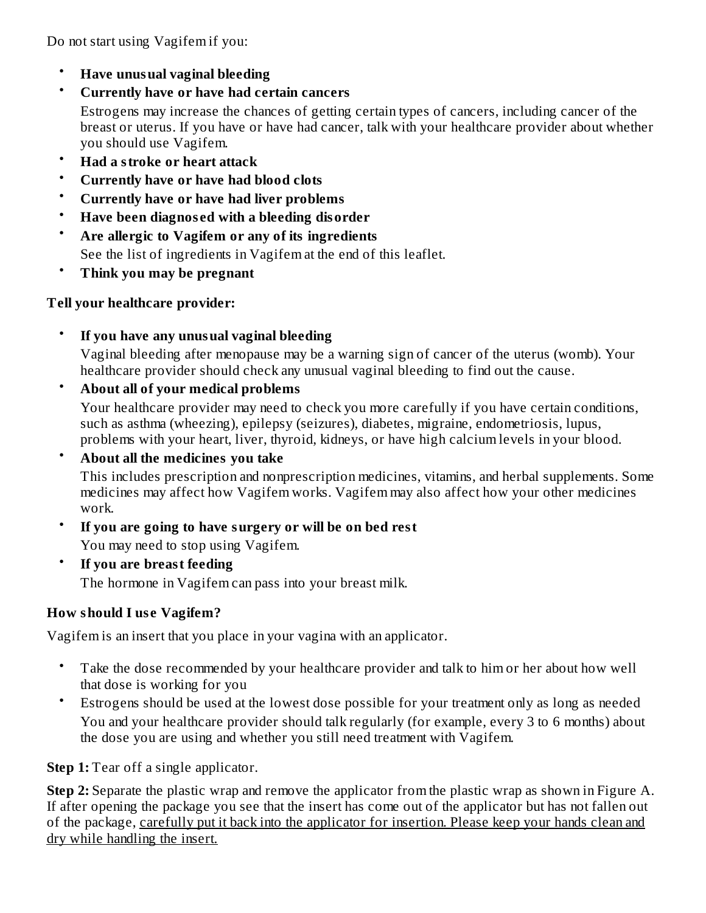Do not start using Vagifem if you:

- **Have unusual vaginal bleeding**
- **Currently have or have had certain cancers**

Estrogens may increase the chances of getting certain types of cancers, including cancer of the breast or uterus. If you have or have had cancer, talk with your healthcare provider about whether you should use Vagifem.

- **Had a stroke or heart attack**
- **Currently have or have had blood clots**
- **Currently have or have had liver problems**
- **Have been diagnos ed with a bleeding disorder**
- **Are allergic to Vagifem or any of its ingredients** See the list of ingredients in Vagifem at the end of this leaflet.
- **Think you may be pregnant**

### **Tell your healthcare provider:**

- **If you have any unusual vaginal bleeding** Vaginal bleeding after menopause may be a warning sign of cancer of the uterus (womb). Your healthcare provider should check any unusual vaginal bleeding to find out the cause.
- **About all of your medical problems**

Your healthcare provider may need to check you more carefully if you have certain conditions, such as asthma (wheezing), epilepsy (seizures), diabetes, migraine, endometriosis, lupus, problems with your heart, liver, thyroid, kidneys, or have high calcium levels in your blood.

• **About all the medicines you take**

This includes prescription and nonprescription medicines, vitamins, and herbal supplements. Some medicines may affect how Vagifem works. Vagifem may also affect how your other medicines work.

- **If you are going to have surgery or will be on bed rest** You may need to stop using Vagifem.
- **If you are breast feeding**

The hormone in Vagifem can pass into your breast milk.

# **How should I us e Vagifem?**

Vagifem is an insert that you place in your vagina with an applicator.

- Take the dose recommended by your healthcare provider and talk to him or her about how well that dose is working for you
- Estrogens should be used at the lowest dose possible for your treatment only as long as needed You and your healthcare provider should talk regularly (for example, every 3 to 6 months) about the dose you are using and whether you still need treatment with Vagifem.

**Step 1:** Tear off a single applicator.

**Step 2:** Separate the plastic wrap and remove the applicator from the plastic wrap as shown in Figure A. If after opening the package you see that the insert has come out of the applicator but has not fallen out of the package, carefully put it back into the applicator for insertion. Please keep your hands clean and dry while handling the insert.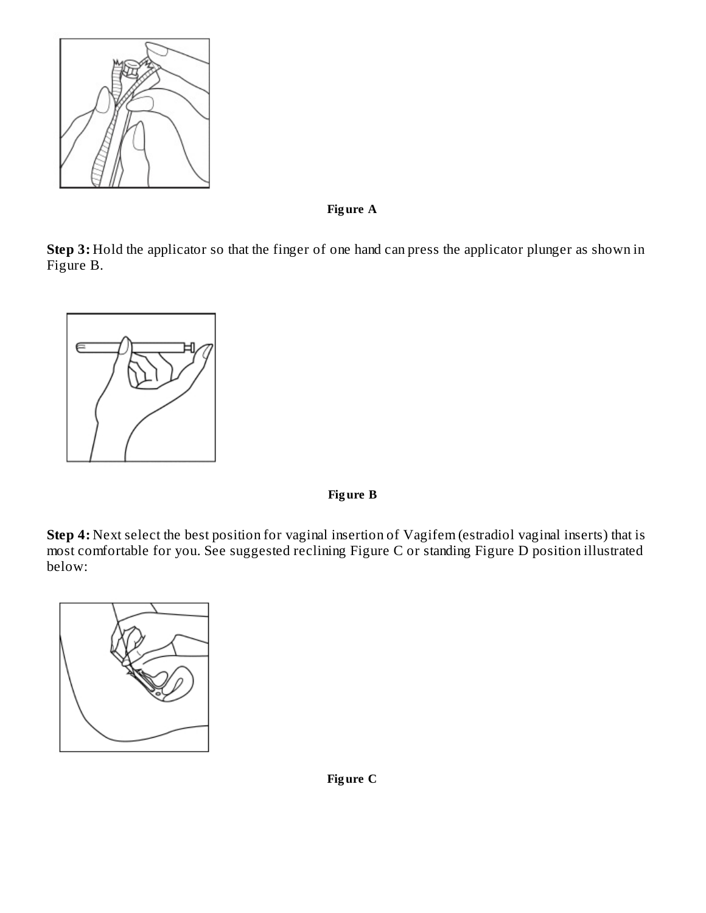

**Fig ure A**

**Step 3:** Hold the applicator so that the finger of one hand can press the applicator plunger as shown in Figure B.



**Fig ure B**

**Step 4:** Next select the best position for vaginal insertion of Vagifem (estradiol vaginal inserts) that is most comfortable for you. See suggested reclining Figure C or standing Figure D position illustrated below:



**Fig ure C**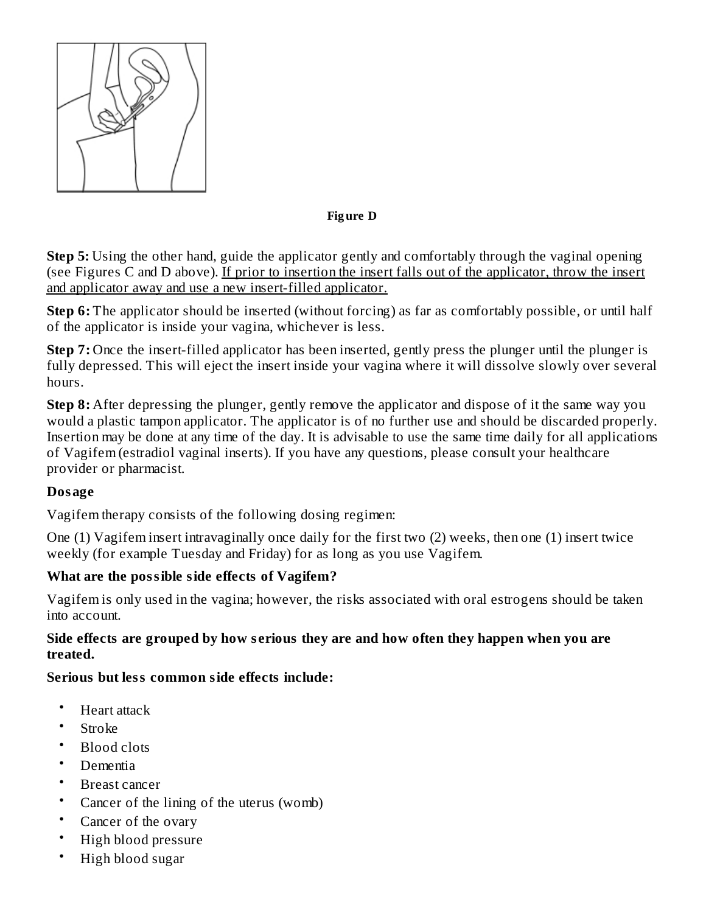

#### **Fig ure D**

**Step 5:** Using the other hand, guide the applicator gently and comfortably through the vaginal opening (see Figures C and D above). If prior to insertion the insert falls out of the applicator, throw the insert and applicator away and use a new insert-filled applicator.

**Step 6:** The applicator should be inserted (without forcing) as far as comfortably possible, or until half of the applicator is inside your vagina, whichever is less.

**Step 7:** Once the insert-filled applicator has been inserted, gently press the plunger until the plunger is fully depressed. This will eject the insert inside your vagina where it will dissolve slowly over several hours.

**Step 8:** After depressing the plunger, gently remove the applicator and dispose of it the same way you would a plastic tampon applicator. The applicator is of no further use and should be discarded properly. Insertion may be done at any time of the day. It is advisable to use the same time daily for all applications of Vagifem (estradiol vaginal inserts). If you have any questions, please consult your healthcare provider or pharmacist.

### **Dosage**

Vagifem therapy consists of the following dosing regimen:

One (1) Vagifem insert intravaginally once daily for the first two (2) weeks, then one (1) insert twice weekly (for example Tuesday and Friday) for as long as you use Vagifem.

### **What are the possible side effects of Vagifem?**

Vagifem is only used in the vagina; however, the risks associated with oral estrogens should be taken into account.

#### **Side effects are grouped by how s erious they are and how often they happen when you are treated.**

### **Serious but less common side effects include:**

- Heart attack
- Stroke
- Blood clots
- Dementia
- Breast cancer
- Cancer of the lining of the uterus (womb)
- Cancer of the ovary
- High blood pressure
- High blood sugar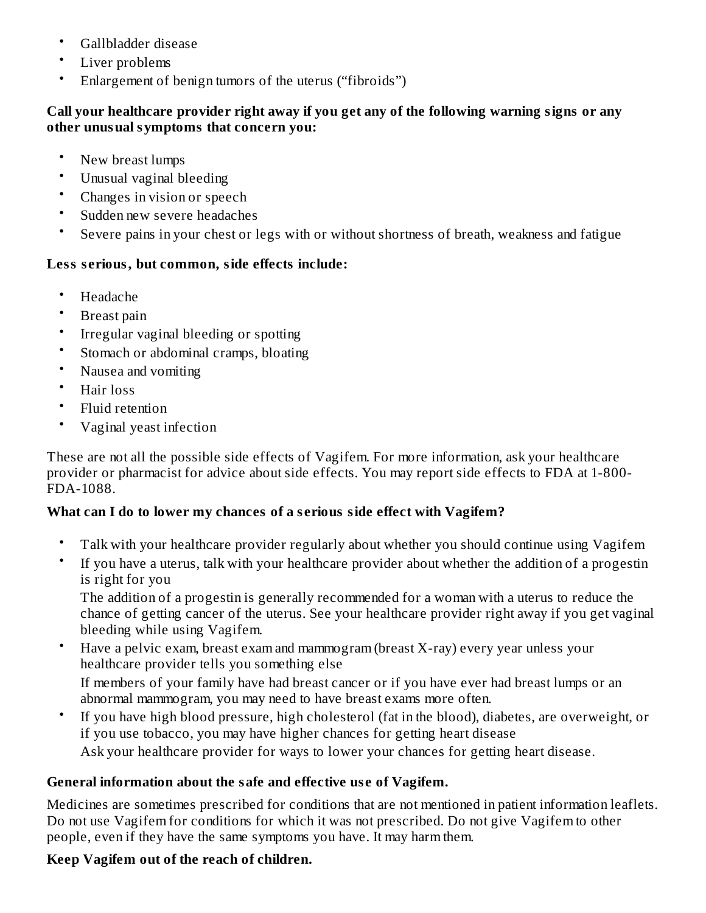- Gallbladder disease
- Liver problems
- Enlargement of benign tumors of the uterus ("fibroids")

### **Call your healthcare provider right away if you get any of the following warning signs or any other unusual symptoms that concern you:**

- New breast lumps
- Unusual vaginal bleeding
- Changes in vision or speech
- Sudden new severe headaches
- Severe pains in your chest or legs with or without shortness of breath, weakness and fatigue

### **Less s erious, but common, side effects include:**

- Headache
- Breast pain
- Irregular vaginal bleeding or spotting
- Stomach or abdominal cramps, bloating
- Nausea and vomiting
- Hair loss
- Fluid retention
- Vaginal yeast infection

These are not all the possible side effects of Vagifem. For more information, ask your healthcare provider or pharmacist for advice about side effects. You may report side effects to FDA at 1-800- FDA-1088.

### **What can I do to lower my chances of a s erious side effect with Vagifem?**

- Talk with your healthcare provider regularly about whether you should continue using Vagifem
- If you have a uterus, talk with your healthcare provider about whether the addition of a progestin is right for you

The addition of a progestin is generally recommended for a woman with a uterus to reduce the chance of getting cancer of the uterus. See your healthcare provider right away if you get vaginal bleeding while using Vagifem.

- Have a pelvic exam, breast exam and mammogram (breast X-ray) every year unless your healthcare provider tells you something else If members of your family have had breast cancer or if you have ever had breast lumps or an abnormal mammogram, you may need to have breast exams more often.
- If you have high blood pressure, high cholesterol (fat in the blood), diabetes, are overweight, or if you use tobacco, you may have higher chances for getting heart disease Ask your healthcare provider for ways to lower your chances for getting heart disease.

### **General information about the safe and effective us e of Vagifem.**

Medicines are sometimes prescribed for conditions that are not mentioned in patient information leaflets. Do not use Vagifem for conditions for which it was not prescribed. Do not give Vagifem to other people, even if they have the same symptoms you have. It may harm them.

### **Keep Vagifem out of the reach of children.**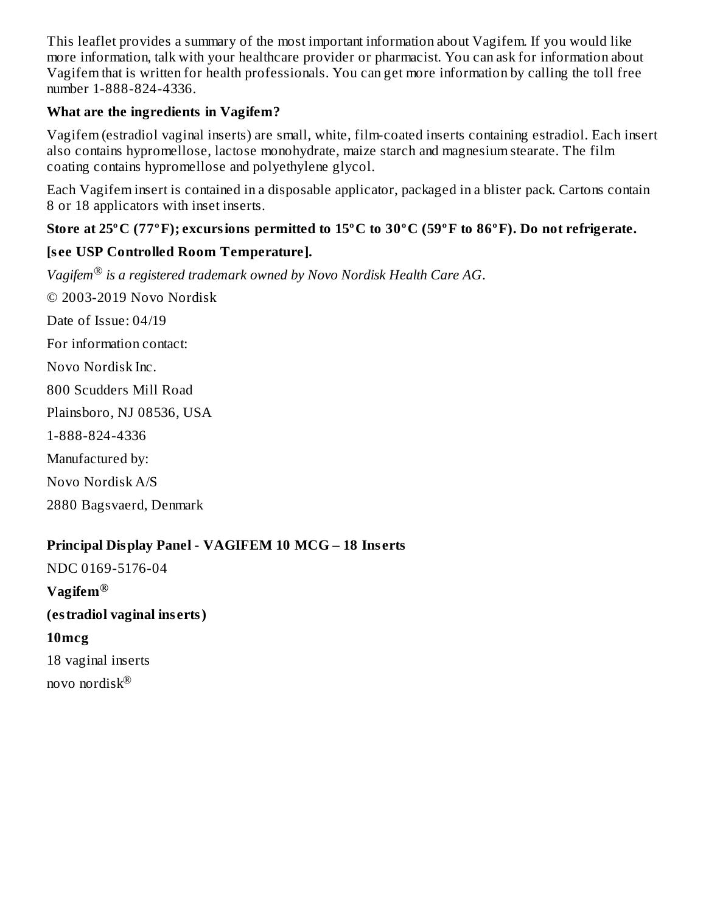This leaflet provides a summary of the most important information about Vagifem. If you would like more information, talk with your healthcare provider or pharmacist. You can ask for information about Vagifem that is written for health professionals. You can get more information by calling the toll free number 1-888-824-4336.

### **What are the ingredients in Vagifem?**

Vagifem (estradiol vaginal inserts) are small, white, film-coated inserts containing estradiol. Each insert also contains hypromellose, lactose monohydrate, maize starch and magnesium stearate. The film coating contains hypromellose and polyethylene glycol.

Each Vagifem insert is contained in a disposable applicator, packaged in a blister pack. Cartons contain 8 or 18 applicators with inset inserts.

### **Store at 25ºC (77ºF); excursions permitted to 15ºC to 30ºC (59ºF to 86ºF). Do not refrigerate.**

### **[s ee USP Controlled Room Temperature].**

*Vagifem is a registered trademark owned by Novo Nordisk Health Care AG*. *®* © 2003-2019 Novo Nordisk Date of Issue: 04/19 For information contact: Novo Nordisk Inc. 800 Scudders Mill Road Plainsboro, NJ 08536, USA 1-888-824-4336 Manufactured by: Novo Nordisk A/S 2880 Bagsvaerd, Denmark

### **Principal Display Panel - VAGIFEM 10 MCG – 18 Ins erts**

NDC 0169-5176-04 **Vagifem ® (estradiol vaginal ins erts) 10mcg** 18 vaginal inserts novo nordisk ®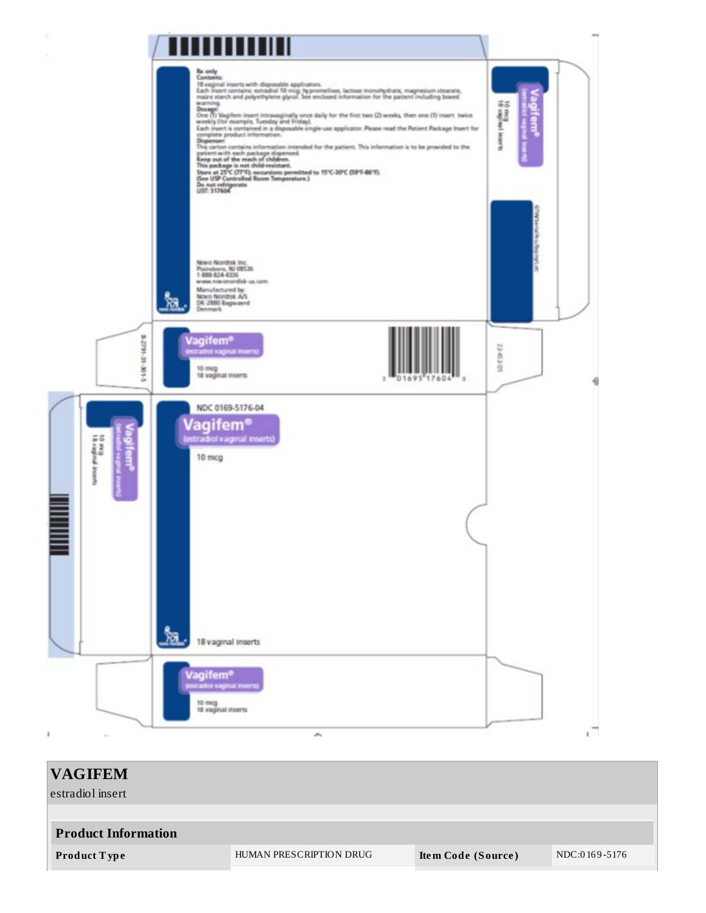